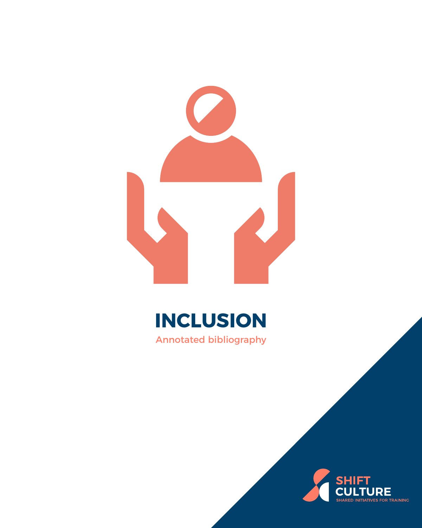





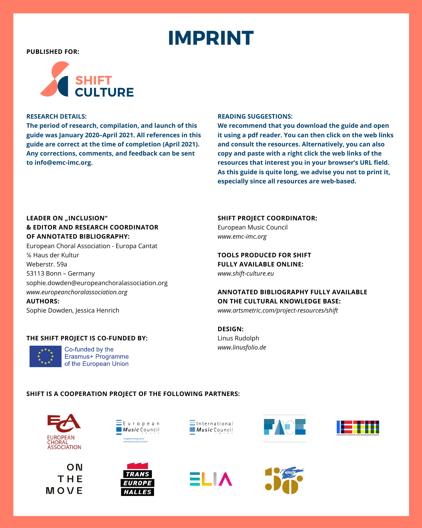## **IMPRINT**

<span id="page-1-0"></span>**PUBLISHED FOR:**



#### **RESEARCH DETAILS:**

**The period of research, compilation, and launch of this guide was January 2020–April 2021. All references in this guide are correct at the time of completion (April 2021). Any corrections, comments, and feedback can be sent to [info@emc-imc.org.](mailto:info%40emc-imc.org?subject=SHIFT%20Environmental%20Sustainability)**

#### **READING SUGGESTIONS:**

**We recommend that you download the guide and open it using a pdf reader. You can then click on the web links and consult the resources. Alternatively, you can also copy and paste with a right click the web links of the resources that interest you in your browser's URL field. As this guide is quite long, we advise you not to print it, especially since all resources are web-based.**

#### **LEADER ON "INCLUSION" & EDITOR AND RESEARCH COORDINATOR OF ANNOTATED BIBLIOGRAPHY:**

European Choral Association - Europa Cantat ℅ Haus der Kultur Weberstr. 59a 53113 Bonn – Germany [sophie.dowden@europeanchoralassociation.org](mailto:sophie.dowden%40europeanchoralassociation.org%20?subject=SHIFT%20-%20Inclusion) *[www.europeanchoralassociation.org](https://europeanchoralassociation.org/)* **AUTHORS:**

Sophie Dowden, Jessica Henrich

#### **THE SHIFT PROJECT IS CO-FUNDED BY:**



Co-funded by the Erasmus+ Programme of the European Union

**SHIFT PROJECT COORDINATOR:**

European Music Council *[www.emc-imc.org](http://www.emc-imc.org)*

#### **TOOLS PRODUCED FOR SHIFT FULLY AVAILABLE ONLINE:**

*[www.shift-culture.eu](http://www.shift-culture.eu)*

#### **ANNOTATED BIBLIOGRAPHY FULLY AVAILABLE ON THE CULTURAL KNOWLEDGE BASE:** *[www.artsmetric.com/project-resources/shift](http://www.artsmetric.com/project-resources/shift)*

#### **DESIGN:** Linus Rudolph *[www.linusfolio.de](http://www.linusfolio.de)*

#### **SHIFT IS A COOPERATION PROJECT OF THE FOLLOWING PARTNERS:**







Fiirnpf







**2** 



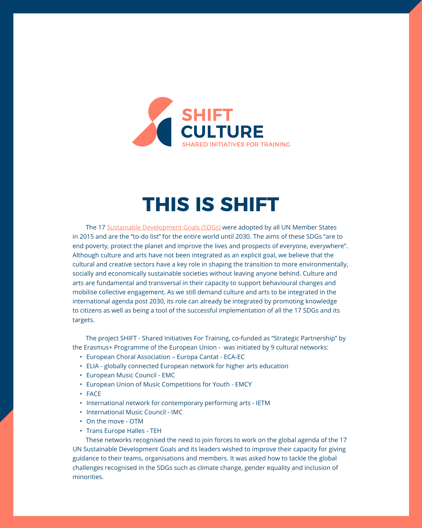<span id="page-2-0"></span>

### **THIS IS SHIFT**

The 17 [Sustainable Development Goals \(SDGs\)](https://sdgs.un.org/goals) were adopted by all UN Member States in 2015 and are the "to-do list" for the entire world until 2030. The aims of these SDGs "are to end poverty, protect the planet and improve the lives and prospects of everyone, everywhere". Although culture and arts have not been integrated as an explicit goal, we believe that the cultural and creative sectors have a key role in shaping the transition to more environmentally, socially and economically sustainable societies without leaving anyone behind. Culture and arts are fundamental and transversal in their capacity to support behavioural changes and mobilise collective engagement. As we still demand culture and arts to be integrated in the international agenda post 2030, its role can already be integrated by promoting knowledge to citizens as well as being a tool of the successful implementation of all the 17 SDGs and its targets.

The project SHIFT - Shared Initiatives For Training, co-funded as "Strategic Partnership" by the Erasmus+ Programme of the European Union - was initiated by 9 cultural networks:

- European Choral Association Europa Cantat ECA-EC
- ELIA globally connected European network for higher arts education
- European Music Council EMC
- European Union of Music Competitions for Youth EMCY
- FACE
- International network for contemporary performing arts IETM
- International Music Council IMC
- On the move OTM
- Trans Europe Halles TEH

These networks recognised the need to join forces to work on the global agenda of the 17 UN Sustainable Development Goals and its leaders wished to improve their capacity for giving guidance to their teams, organisations and members. It was asked how to tackle the global challenges recognised in the SDGs such as climate change, gender equality and inclusion of minorities.

**3**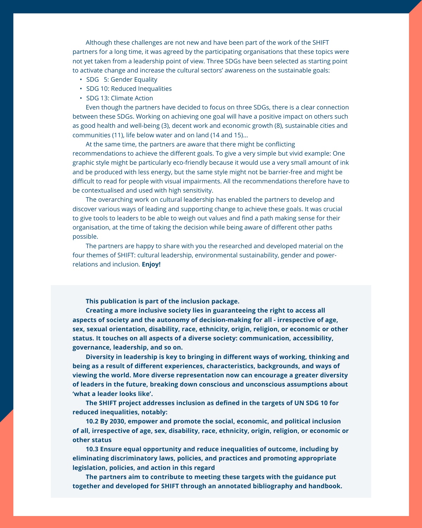Although these challenges are not new and have been part of the work of the SHIFT partners for a long time, it was agreed by the participating organisations that these topics were not yet taken from a leadership point of view. Three SDGs have been selected as starting point to activate change and increase the cultural sectors' awareness on the sustainable goals:

- SDG 5: Gender Equality
- SDG 10: Reduced Inequalities
- SDG 13: Climate Action

Even though the partners have decided to focus on three SDGs, there is a clear connection between these SDGs. Working on achieving one goal will have a positive impact on others such as good health and well-being (3), decent work and economic growth (8), sustainable cities and communities (11), life below water and on land (14 and 15)...

At the same time, the partners are aware that there might be conflicting recommendations to achieve the different goals. To give a very simple but vivid example: One graphic style might be particularly eco-friendly because it would use a very small amount of ink and be produced with less energy, but the same style might not be barrier-free and might be difficult to read for people with visual impairments. All the recommendations therefore have to be contextualised and used with high sensitivity.

The overarching work on cultural leadership has enabled the partners to develop and discover various ways of leading and supporting change to achieve these goals. It was crucial to give tools to leaders to be able to weigh out values and find a path making sense for their organisation, at the time of taking the decision while being aware of different other paths possible.

The partners are happy to share with you the researched and developed material on the four themes of SHIFT: cultural leadership, environmental sustainability, gender and powerrelations and inclusion. **Enjoy!**

**This publication is part of the inclusion package.** 

**Creating a more inclusive society lies in guaranteeing the right to access all aspects of society and the autonomy of decision-making for all - irrespective of age, sex, sexual orientation, disability, race, ethnicity, origin, religion, or economic or other status. It touches on all aspects of a diverse society: communication, accessibility, governance, leadership, and so on.**

**Diversity in leadership is key to bringing in different ways of working, thinking and being as a result of different experiences, characteristics, backgrounds, and ways of viewing the world. More diverse representation now can encourage a greater diversity of leaders in the future, breaking down conscious and unconscious assumptions about 'what a leader looks like'.**

**The SHIFT project addresses inclusion as defined in the targets of UN SDG 10 for reduced inequalities, notably:**

**10.2 By 2030, empower and promote the social, economic, and political inclusion of all, irrespective of age, sex, disability, race, ethnicity, origin, religion, or economic or other status**

**10.3 Ensure equal opportunity and reduce inequalities of outcome, including by eliminating discriminatory laws, policies, and practices and promoting appropriate legislation, policies, and action in this regard**

**The partners aim to contribute to meeting these targets with the guidance put together and developed for SHIFT through an annotated bibliography and handbook.**

**4**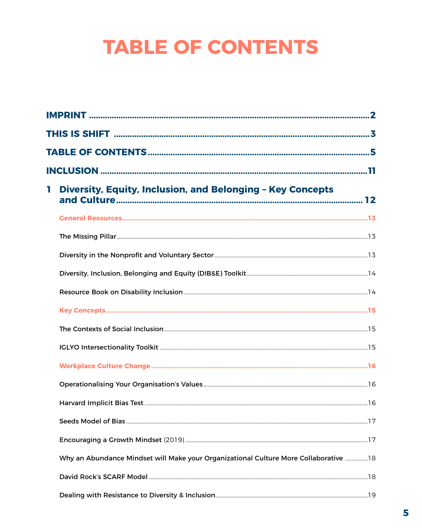# **TABLE OF CONTENTS**

| T. | Diversity, Equity, Inclusion, and Belonging - Key Concepts                            |        |
|----|---------------------------------------------------------------------------------------|--------|
|    |                                                                                       |        |
|    |                                                                                       |        |
|    |                                                                                       |        |
|    |                                                                                       |        |
|    |                                                                                       |        |
|    |                                                                                       |        |
|    |                                                                                       |        |
|    |                                                                                       |        |
|    |                                                                                       |        |
|    |                                                                                       |        |
|    |                                                                                       | ……….16 |
|    |                                                                                       |        |
|    |                                                                                       |        |
|    | Why an Abundance Mindset will Make your Organizational Culture More Collaborative  18 |        |
|    |                                                                                       |        |
|    |                                                                                       |        |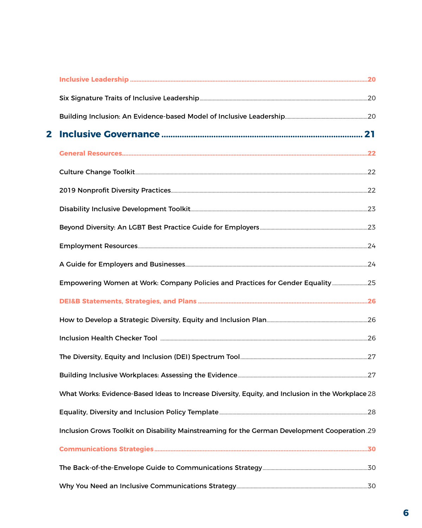| $\mathbf{2}$ |                                                                                                   |  |
|--------------|---------------------------------------------------------------------------------------------------|--|
|              |                                                                                                   |  |
|              |                                                                                                   |  |
|              |                                                                                                   |  |
|              |                                                                                                   |  |
|              |                                                                                                   |  |
|              |                                                                                                   |  |
|              |                                                                                                   |  |
|              | Empowering Women at Work: Company Policies and Practices for Gender Equality 25                   |  |
|              |                                                                                                   |  |
|              |                                                                                                   |  |
|              |                                                                                                   |  |
|              |                                                                                                   |  |
|              |                                                                                                   |  |
|              | What Works: Evidence-Based Ideas to Increase Diversity, Equity, and Inclusion in the Workplace 28 |  |
|              |                                                                                                   |  |
|              | Inclusion Grows Toolkit on Disability Mainstreaming for the German Development Cooperation 29     |  |
|              |                                                                                                   |  |
|              |                                                                                                   |  |
|              |                                                                                                   |  |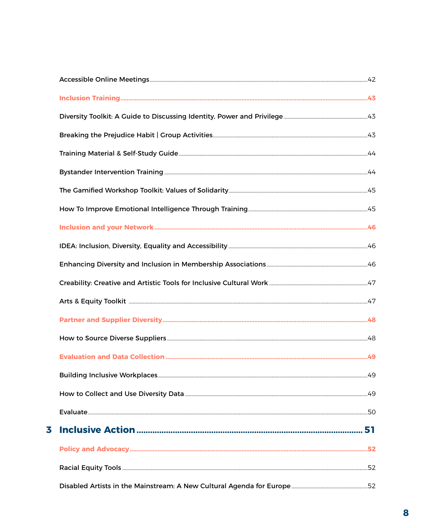| 3 |  |
|---|--|
|   |  |
|   |  |
|   |  |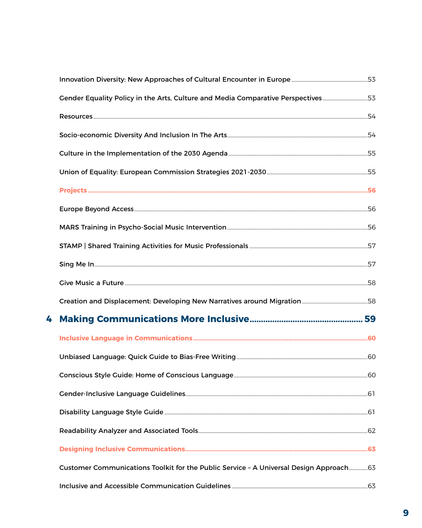|   | Gender Equality Policy in the Arts, Culture and Media Comparative Perspectives53        |  |
|---|-----------------------------------------------------------------------------------------|--|
|   |                                                                                         |  |
|   |                                                                                         |  |
|   |                                                                                         |  |
|   |                                                                                         |  |
|   |                                                                                         |  |
|   |                                                                                         |  |
|   |                                                                                         |  |
|   |                                                                                         |  |
|   |                                                                                         |  |
|   |                                                                                         |  |
|   |                                                                                         |  |
| 4 |                                                                                         |  |
|   |                                                                                         |  |
|   |                                                                                         |  |
|   |                                                                                         |  |
|   |                                                                                         |  |
|   |                                                                                         |  |
|   |                                                                                         |  |
|   |                                                                                         |  |
|   | Customer Communications Toolkit for the Public Service - A Universal Design Approach 63 |  |
|   |                                                                                         |  |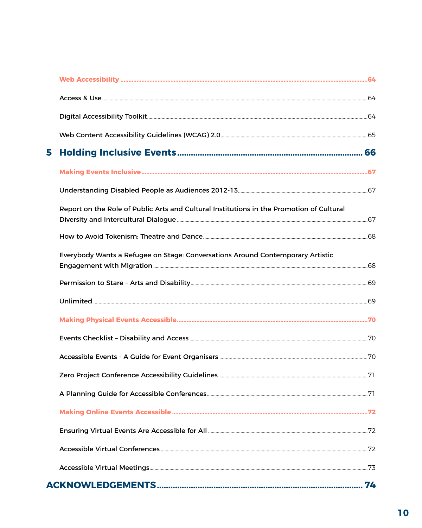| 5 |                                                                                          |  |
|---|------------------------------------------------------------------------------------------|--|
|   |                                                                                          |  |
|   |                                                                                          |  |
|   | Report on the Role of Public Arts and Cultural Institutions in the Promotion of Cultural |  |
|   |                                                                                          |  |
|   | Everybody Wants a Refugee on Stage: Conversations Around Contemporary Artistic           |  |
|   |                                                                                          |  |
|   |                                                                                          |  |
|   |                                                                                          |  |
|   |                                                                                          |  |
|   |                                                                                          |  |
|   |                                                                                          |  |
|   |                                                                                          |  |
|   |                                                                                          |  |
|   |                                                                                          |  |
|   |                                                                                          |  |
|   |                                                                                          |  |
|   |                                                                                          |  |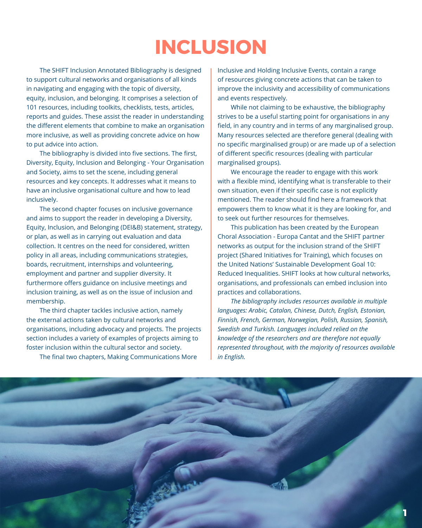### **INCLUSION**

<span id="page-10-0"></span>The SHIFT Inclusion Annotated Bibliography is designed to support cultural networks and organisations of all kinds in navigating and engaging with the topic of diversity, equity, inclusion, and belonging. It comprises a selection of 101 resources, including toolkits, checklists, tests, articles, reports and guides. These assist the reader in understanding the different elements that combine to make an organisation more inclusive, as well as providing concrete advice on how to put advice into action.

The bibliography is divided into five sections. The first, Diversity, Equity, Inclusion and Belonging - Your Organisation and Society, aims to set the scene, including general resources and key concepts. It addresses what it means to have an inclusive organisational culture and how to lead inclusively.

The second chapter focuses on inclusive governance and aims to support the reader in developing a Diversity, Equity, Inclusion, and Belonging (DEI&B) statement, strategy, or plan, as well as in carrying out evaluation and data collection. It centres on the need for considered, written policy in all areas, including communications strategies, boards, recruitment, internships and volunteering, employment and partner and supplier diversity. It furthermore offers guidance on inclusive meetings and inclusion training, as well as on the issue of inclusion and membership.

The third chapter tackles inclusive action, namely the external actions taken by cultural networks and organisations, including advocacy and projects. The projects section includes a variety of examples of projects aiming to foster inclusion within the cultural sector and society.

The final two chapters, Making Communications More

Inclusive and Holding Inclusive Events, contain a range of resources giving concrete actions that can be taken to improve the inclusivity and accessibility of communications and events respectively.

While not claiming to be exhaustive, the bibliography strives to be a useful starting point for organisations in any field, in any country and in terms of any marginalised group. Many resources selected are therefore general (dealing with no specific marginalised group) or are made up of a selection of different specific resources (dealing with particular marginalised groups).

We encourage the reader to engage with this work with a flexible mind, identifying what is transferable to their own situation, even if their specific case is not explicitly mentioned. The reader should find here a framework that empowers them to know what it is they are looking for, and to seek out further resources for themselves.

This publication has been created by the European Choral Association - Europa Cantat and the SHIFT partner networks as output for the inclusion strand of the SHIFT project (Shared Initiatives for Training), which focuses on the United Nations' Sustainable Development Goal 10: Reduced Inequalities. SHIFT looks at how cultural networks, organisations, and professionals can embed inclusion into practices and collaborations.

*The bibliography includes resources available in multiple languages: Arabic, Catalan, Chinese, Dutch, English, Estonian, Finnish, French, German, Norwegian, Polish, Russian, Spanish, Swedish and Turkish. Languages included relied on the knowledge of the researchers and are therefore not equally represented throughout, with the majority of resources available in English.*

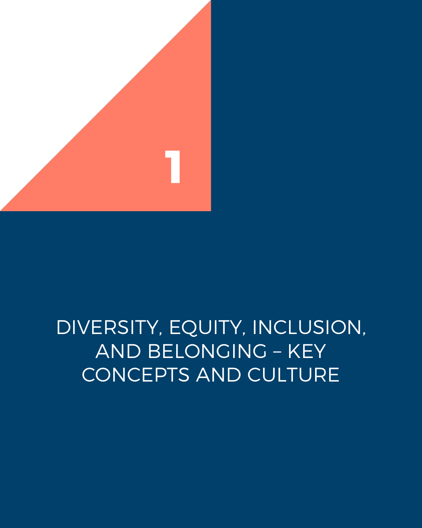<span id="page-11-0"></span>

## DIVERSITY, EQUITY, INCLUSION, AND BELONGING – KEY CONCEPTS AND CULTURE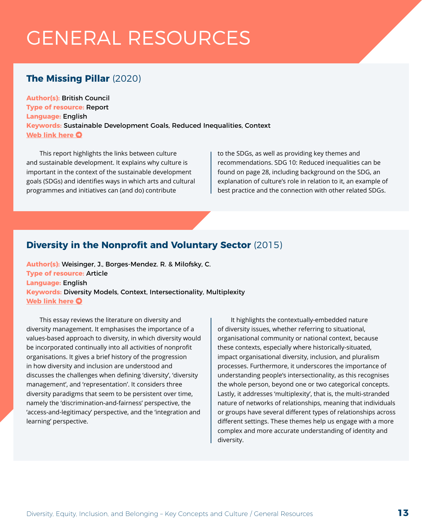## <span id="page-12-0"></span>GENERAL RESOURCES

### **The Missing Pillar** (2020)

**Author(s):** British Council **Type of resource:** Report **Language:** English **Keywords:** Sustainable Development Goals, Reduced Inequalities, Context **[Web link here](https://www.britishcouncil.org/sites/default/files/the_missing_pillar.pdf) O** 

This report highlights the links between culture and sustainable development. It explains why culture is important in the context of the sustainable development goals (SDGs) and identifies ways in which arts and cultural programmes and initiatives can (and do) contribute

to the SDGs, as well as providing key themes and recommendations. SDG 10: Reduced inequalities can be found on page 28, including background on the SDG, an explanation of culture's role in relation to it, an example of best practice and the connection with other related SDGs.

### **Diversity in the Nonprofit and Voluntary Sector** (2015)

**Author(s):** Weisinger, J., Borges-Mendez. R. & Milofsky, C. **Type of resource:** Article **Language:** English **Keywords:** Diversity Models, Context, Intersectionality, Multiplexity **[Web link here](https://www.researchgate.net/publication/283827371_Diversity_in_the_Nonprofit_and_Voluntary_Sector) O** 

This essay reviews the literature on diversity and diversity management. It emphasises the importance of a values-based approach to diversity, in which diversity would be incorporated continually into all activities of nonprofit organisations. It gives a brief history of the progression in how diversity and inclusion are understood and discusses the challenges when defining 'diversity', 'diversity management', and 'representation'. It considers three diversity paradigms that seem to be persistent over time, namely the 'discrimination-and-fairness' perspective, the 'access-and-legitimacy' perspective, and the 'integration and learning' perspective.

It highlights the contextually-embedded nature of diversity issues, whether referring to situational, organisational community or national context, because these contexts, especially where historically-situated, impact organisational diversity, inclusion, and pluralism processes. Furthermore, it underscores the importance of understanding people's intersectionality, as this recognises the whole person, beyond one or two categorical concepts. Lastly, it addresses 'multiplexity', that is, the multi-stranded nature of networks of relationships, meaning that individuals or groups have several different types of relationships across different settings. These themes help us engage with a more complex and more accurate understanding of identity and diversity.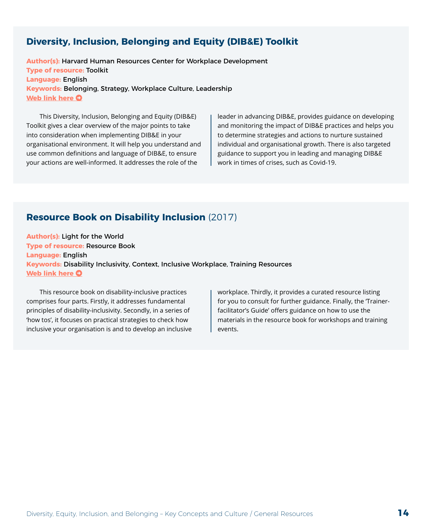#### <span id="page-13-0"></span>**Diversity, Inclusion, Belonging and Equity (DIB&E) Toolkit**

**Author(s):** Harvard Human Resources Center for Workplace Development **Type of resource:** Toolkit **Language:** English **Keywords:** Belonging, Strategy, Workplace Culture, Leadership **[Web link here](https://dib.harvard.edu/diversity-inclusion-belonging-equity-toolkit) O** 

This Diversity, Inclusion, Belonging and Equity (DIB&E) Toolkit gives a clear overview of the major points to take into consideration when implementing DIB&E in your organisational environment. It will help you understand and use common definitions and language of DIB&E, to ensure your actions are well-informed. It addresses the role of the

leader in advancing DIB&E, provides guidance on developing and monitoring the impact of DIB&E practices and helps you to determine strategies and actions to nurture sustained individual and organisational growth. There is also targeted guidance to support you in leading and managing DIB&E work in times of crises, such as Covid-19.

#### **Resource Book on Disability Inclusion** (2017)

**Author(s):** Light for the World **Type of resource:** Resource Book **Language:** English **Keywords:** Disability Inclusivity, Context, Inclusive Workplace, Training Resources **[Web link here](https://www.light-for-the-world.org/sites/lfdw_org/files/download_files/resource_book_disability_inclusion.pdf) O** 

This resource book on disability-inclusive practices comprises four parts. Firstly, it addresses fundamental principles of disability-inclusivity. Secondly, in a series of 'how tos', it focuses on practical strategies to check how inclusive your organisation is and to develop an inclusive workplace. Thirdly, it provides a curated resource listing for you to consult for further guidance. Finally, the 'Trainerfacilitator's Guide' offers guidance on how to use the materials in the resource book for workshops and training events.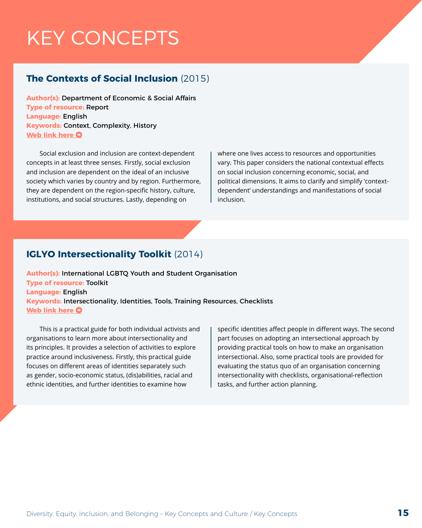## <span id="page-14-0"></span>KEY CONCEPTS

#### **The Contexts of Social Inclusion** (2015)

**Author(s):** Department of Economic & Social Affairs **Type of resource:** Report **Language:** English **Keywords:** Context, Complexity, History **[Web link here](https://www.un.org/esa/desa/papers/2015/wp144_2015.pdf) O** 

Social exclusion and inclusion are context-dependent concepts in at least three senses. Firstly, social exclusion and inclusion are dependent on the ideal of an inclusive society which varies by country and by region. Furthermore, they are dependent on the region-specific history, culture, institutions, and social structures. Lastly, depending on

where one lives access to resources and opportunities vary. This paper considers the national contextual effects on social inclusion concerning economic, social, and political dimensions. It aims to clarify and simplify 'contextdependent' understandings and manifestations of social inclusion.

#### **IGLYO Intersectionality Toolkit** (2014)

**Author(s):** International LGBTQ Youth and Student Organisation **Type of resource:** Toolkit **Language:** English **Keywords:** Intersectionality, Identities, Tools, Training Resources, Checklists **[Web link here](https://www.luthercollege.edu/public/images/Intersectionality_Tookit_and_other_resources.pdf)**  $\bullet$ 

This is a practical guide for both individual activists and organisations to learn more about intersectionality and its principles. It provides a selection of activities to explore practice around inclusiveness. Firstly, this practical guide focuses on different areas of identities separately such as gender, socio-economic status, (dis)abilities, racial and ethnic identities, and further identities to examine how

specific identities affect people in different ways. The second part focuses on adopting an intersectional approach by providing practical tools on how to make an organisation intersectional. Also, some practical tools are provided for evaluating the status quo of an organisation concerning intersectionality with checklists, organisational-reflection tasks, and further action planning.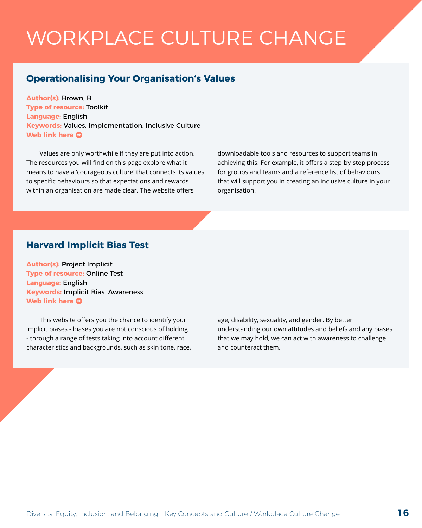## <span id="page-15-0"></span>WORKPLACE CULTURE CHANGE

#### **Operationalising Your Organisation's Values**

**Author(s):** Brown, B. **Type of resource:** Toolkit **Language:** English **Keywords:** Values, Implementation, Inclusive Culture **[Web link here](https://daretolead.brenebrown.com/operationalizing-your-orgs-values/) O** 

Values are only worthwhile if they are put into action. The resources you will find on this page explore what it means to have a 'courageous culture' that connects its values to specific behaviours so that expectations and rewards within an organisation are made clear. The website offers

downloadable tools and resources to support teams in achieving this. For example, it offers a step-by-step process for groups and teams and a reference list of behaviours that will support you in creating an inclusive culture in your organisation.

#### **Harvard Implicit Bias Test**

**Author(s):** Project Implicit **Type of resource:** Online Test **Language:** English **Keywords:** Implicit Bias, Awareness **[Web link here](https://implicit.harvard.edu/implicit/takeatest.html) O** 

This website offers you the chance to identify your implicit biases - biases you are not conscious of holding - through a range of tests taking into account different characteristics and backgrounds, such as skin tone, race, age, disability, sexuality, and gender. By better understanding our own attitudes and beliefs and any biases that we may hold, we can act with awareness to challenge and counteract them.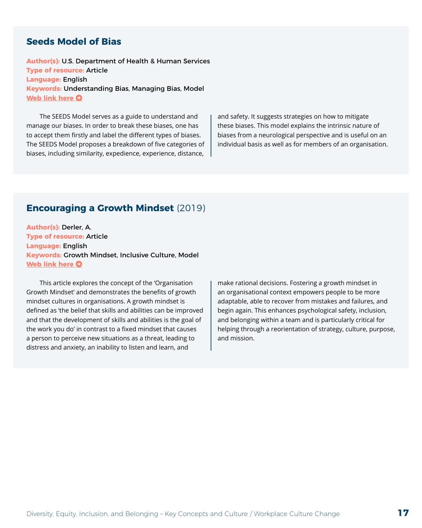#### <span id="page-16-0"></span>**Seeds Model of Bias**

**Author(s):** U.S. Department of Health & Human Services **Type of resource:** Article **Language:** English **Keywords:** Understanding Bias, Managing Bias, Model **[Web link here](https://childcareta.acf.hhs.gov/systemsbuilding/systems-guides/leadership/leading-ourselves/seeds-model) O** 

The SEEDS Model serves as a guide to understand and manage our biases. In order to break these biases, one has to accept them firstly and label the different types of biases. The SEEDS Model proposes a breakdown of five categories of biases, including similarity, expedience, experience, distance,

and safety. It suggests strategies on how to mitigate these biases. This model explains the intrinsic nature of biases from a neurological perspective and is useful on an individual basis as well as for members of an organisation.

#### **Encouraging a Growth Mindset** (2019)

**Author(s):** Derler, A. **Type of resource:** Article **Language:** English **Keywords:** Growth Mindset, Inclusive Culture, Model **[Web link here](https://www.leadership-insiders.de/organizational-growth-mindset-the-key-to-culture-change/)**  $\Omega$ 

This article explores the concept of the 'Organisation Growth Mindset' and demonstrates the benefits of growth mindset cultures in organisations. A growth mindset is defined as 'the belief that skills and abilities can be improved and that the development of skills and abilities is the goal of the work you do' in contrast to a fixed mindset that causes a person to perceive new situations as a threat, leading to distress and anxiety, an inability to listen and learn, and

make rational decisions. Fostering a growth mindset in an organisational context empowers people to be more adaptable, able to recover from mistakes and failures, and begin again. This enhances psychological safety, inclusion, and belonging within a team and is particularly critical for helping through a reorientation of strategy, culture, purpose, and mission.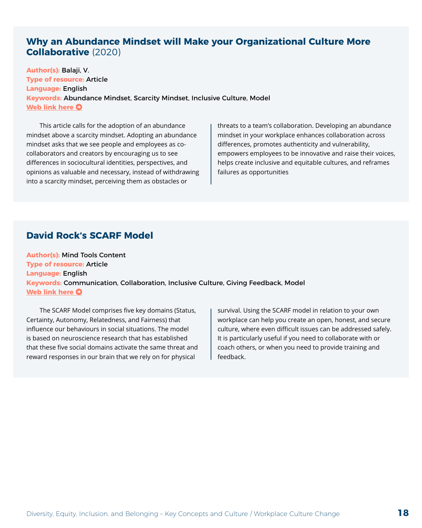#### <span id="page-17-0"></span>**Why an Abundance Mindset will Make your Organizational Culture More Collaborative** (2020)

**Author(s):** Balaji, V. **Type of resource:** Article **Language:** English **Keywords:** Abundance Mindset, Scarcity Mindset, Inclusive Culture, Model **[Web link here](https://www.mindhatchllc.com/5-reasons-abundance-mindset-collaboration/) O** 

This article calls for the adoption of an abundance mindset above a scarcity mindset. Adopting an abundance mindset asks that we see people and employees as cocollaborators and creators by encouraging us to see differences in sociocultural identities, perspectives, and opinions as valuable and necessary, instead of withdrawing into a scarcity mindset, perceiving them as obstacles or

threats to a team's collaboration. Developing an abundance mindset in your workplace enhances collaboration across differences, promotes authenticity and vulnerability, empowers employees to be innovative and raise their voices, helps create inclusive and equitable cultures, and reframes failures as opportunities

#### **David Rock's SCARF Model**

**Author(s):** Mind Tools Content **Type of resource:** Article **Language:** English **Keywords:** Communication, Collaboration, Inclusive Culture, Giving Feedback, Model **[Web link here](https://www.mindtools.com/pages/article/SCARF.htm) O** 

The SCARF Model comprises five key domains (Status, Certainty, Autonomy, Relatedness, and Fairness) that influence our behaviours in social situations. The model is based on neuroscience research that has established that these five social domains activate the same threat and reward responses in our brain that we rely on for physical

survival. Using the SCARF model in relation to your own workplace can help you create an open, honest, and secure culture, where even difficult issues can be addressed safely. It is particularly useful if you need to collaborate with or coach others, or when you need to provide training and feedback.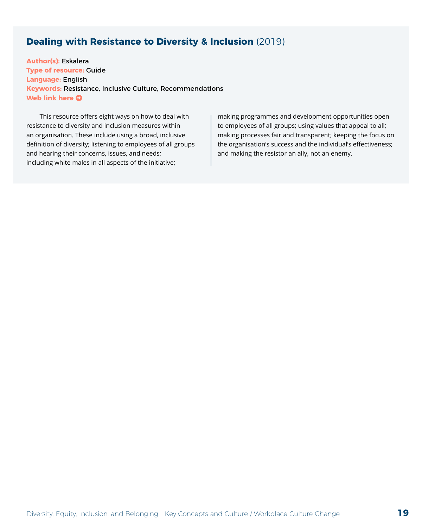#### <span id="page-18-0"></span>**Dealing with Resistance to Diversity & Inclusion** (2019)

**Author(s):** Eskalera **Type of resource:** Guide **Language:** English **Keywords:** Resistance, Inclusive Culture, Recommendations **[Web link here](https://eskalera.com/2019/05/22/dealing-with-resistance-to-diversity-inclusion/) O** 

This resource offers eight ways on how to deal with resistance to diversity and inclusion measures within an organisation. These include using a broad, inclusive definition of diversity; listening to employees of all groups and hearing their concerns, issues, and needs; including white males in all aspects of the initiative;

making programmes and development opportunities open to employees of all groups; using values that appeal to all; making processes fair and transparent; keeping the focus on the organisation's success and the individual's effectiveness; and making the resistor an ally, not an enemy.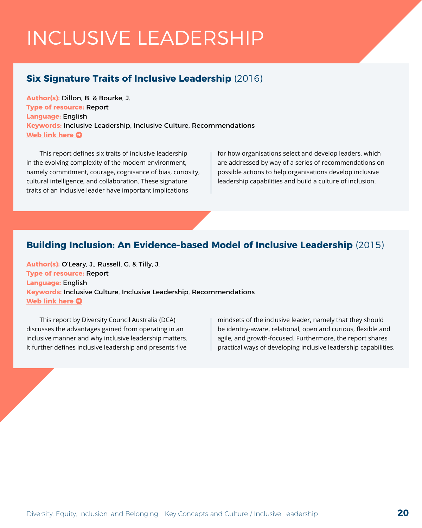## <span id="page-19-0"></span>INCLUSIVE LEADERSHIP

#### **Six Signature Traits of Inclusive Leadership** (2016)

**Author(s):** Dillon, B. & Bourke, J. **Type of resource:** Report **Language:** English **Keywords:** Inclusive Leadership, Inclusive Culture, Recommendations **[Web link here](https://www2.deloitte.com/content/dam/Deloitte/au/Documents/human-capital/deloitte-au-hc-six-signature-traits-inclusive-leadership-020516.pdf) O** 

This report defines six traits of inclusive leadership in the evolving complexity of the modern environment, namely commitment, courage, cognisance of bias, curiosity, cultural intelligence, and collaboration. These signature traits of an inclusive leader have important implications

for how organisations select and develop leaders, which are addressed by way of a series of recommendations on possible actions to help organisations develop inclusive leadership capabilities and build a culture of inclusion.

#### **Building Inclusion: An Evidence-based Model of Inclusive Leadership** (2015)

**Author(s):** O'Leary, J., Russell, G. & Tilly, J. **Type of resource:** Report **Language:** English **Keywords:** Inclusive Culture, Inclusive Leadership, Recommendations **[Web link here](https://www.dca.org.au/sites/default/files/dca_il_synopsis_online.pdf) O** 

This report by Diversity Council Australia (DCA) discusses the advantages gained from operating in an inclusive manner and why inclusive leadership matters. It further defines inclusive leadership and presents five

mindsets of the inclusive leader, namely that they should be identity-aware, relational, open and curious, flexible and agile, and growth-focused. Furthermore, the report shares practical ways of developing inclusive leadership capabilities.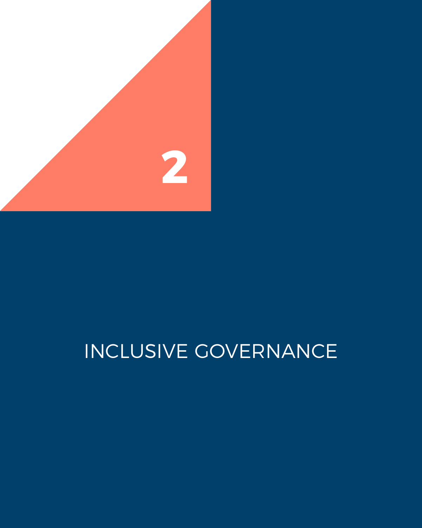<span id="page-20-0"></span>

# INCLUSIVE GOVERNANCE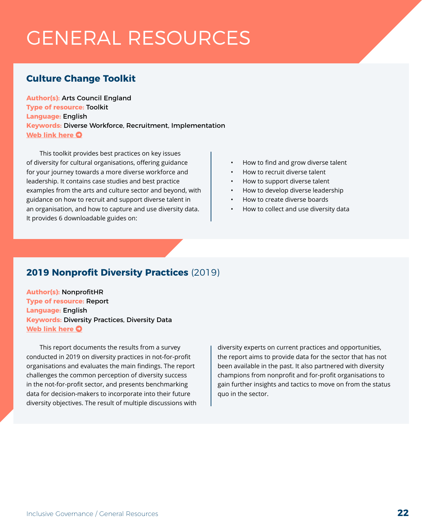## <span id="page-21-0"></span>GENERAL RESOURCES

### **Culture Change Toolkit**

**Author(s):** Arts Council England **Type of resource:** Toolkit **Language:** English **Keywords:** Diverse Workforce, Recruitment, Implementation **[Web link here](https://www.artscouncil.org.uk/guidance-and-resources/culture-change-toolkit) O** 

This toolkit provides best practices on key issues of diversity for cultural organisations, offering guidance for your journey towards a more diverse workforce and leadership. It contains case studies and best practice examples from the arts and culture sector and beyond, with guidance on how to recruit and support diverse talent in an organisation, and how to capture and use diversity data. It provides 6 downloadable guides on:

- How to find and grow diverse talent
- How to recruit diverse talent
- How to support diverse talent
- How to develop diverse leadership
- How to create diverse boards
- How to collect and use diversity data

#### **2019 Nonprofit Diversity Practices** (2019)

**Author(s):** NonprofitHR **Type of resource:** Report **Language:** English **Keywords:** Diversity Practices, Diversity Data **[Web link here](https://www.nonprofithr.com/wp-content/uploads/2019/11/New-Report-Published-Nonprofit-Diversity-Practices-Report-Published2019.pdf) O** 

This report documents the results from a survey conducted in 2019 on diversity practices in not-for-profit organisations and evaluates the main findings. The report challenges the common perception of diversity success in the not-for-profit sector, and presents benchmarking data for decision-makers to incorporate into their future diversity objectives. The result of multiple discussions with

diversity experts on current practices and opportunities, the report aims to provide data for the sector that has not been available in the past. It also partnered with diversity champions from nonprofit and for-profit organisations to gain further insights and tactics to move on from the status quo in the sector.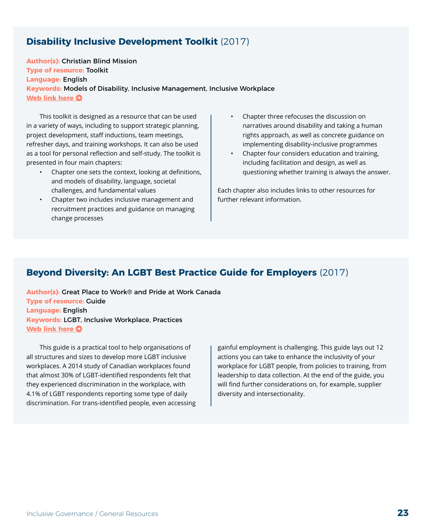#### <span id="page-22-0"></span>**Disability Inclusive Development Toolkit** (2017)

**Author(s):** Christian Blind Mission **Type of resource:** Toolkit **Language:** English **Keywords:** Models of Disability, Inclusive Management, Inclusive Workplace **[Web link here](https://www.cbm.org/fileadmin/user_upload/Publications/CBM-DID-TOOLKIT-accessible.pdf) O** 

This toolkit is designed as a resource that can be used in a variety of ways, including to support strategic planning, project development, staff inductions, team meetings, refresher days, and training workshops. It can also be used as a tool for personal reflection and self-study. The toolkit is presented in four main chapters:

- Chapter one sets the context, looking at definitions, and models of disability, language, societal challenges, and fundamental values
- Chapter two includes inclusive management and recruitment practices and guidance on managing change processes
- Chapter three refocuses the discussion on narratives around disability and taking a human rights approach, as well as concrete guidance on implementing disability-inclusive programmes
- Chapter four considers education and training, including facilitation and design, as well as questioning whether training is always the answer.

Each chapter also includes links to other resources for further relevant information.

#### **Beyond Diversity: An LGBT Best Practice Guide for Employers** (2017)

**Author(s):** Great Place to Work® and Pride at Work Canada **Type of resource:** Guide **Language:** English **Keywords:** LGBT, Inclusive Workplace, Practices **[Web link here](https://prideatwork.ca/wp-content/uploads/2017/09/Beyond-Diversity-LGBT-Guide.pdf) O** 

This guide is a practical tool to help organisations of all structures and sizes to develop more LGBT inclusive workplaces. A 2014 study of Canadian workplaces found that almost 30% of LGBT-identified respondents felt that they experienced discrimination in the workplace, with 4.1% of LGBT respondents reporting some type of daily discrimination. For trans-identified people, even accessing gainful employment is challenging. This guide lays out 12 actions you can take to enhance the inclusivity of your workplace for LGBT people, from policies to training, from leadership to data collection. At the end of the guide, you will find further considerations on, for example, supplier diversity and intersectionality.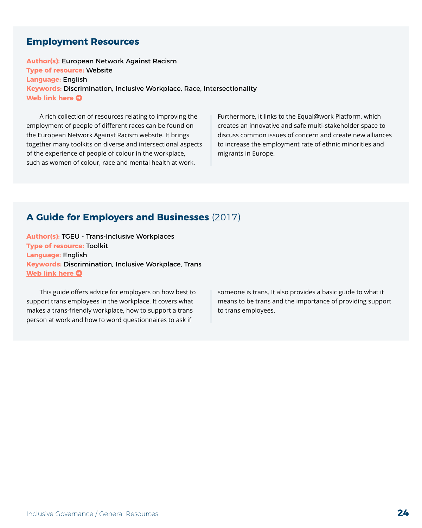#### <span id="page-23-0"></span>**Employment Resources**

**Author(s):** European Network Against Racism **Type of resource:** Website **Language:** English **Keywords:** Discrimination, Inclusive Workplace, Race, Intersectionality **[Web link here](https://www.enar-eu.org/Employment) O** 

A rich collection of resources relating to improving the employment of people of different races can be found on the European Network Against Racism website. It brings together many toolkits on diverse and intersectional aspects of the experience of people of colour in the workplace, such as women of colour, race and mental health at work.

Furthermore, it links to the Equal@work Platform, which creates an innovative and safe multi-stakeholder space to discuss common issues of concern and create new alliances to increase the employment rate of ethnic minorities and migrants in Europe.

#### **A Guide for Employers and Businesses** (2017)

**Author(s):** TGEU - Trans-Inclusive Workplaces **Type of resource:** Toolkit **Language:** English **Keywords:** Discrimination, Inclusive Workplace, Trans **[Web link here](https://tgeu.org/inclusiveworkplaces/) O** 

This guide offers advice for employers on how best to support trans employees in the workplace. It covers what makes a trans-friendly workplace, how to support a trans person at work and how to word questionnaires to ask if

someone is trans. It also provides a basic guide to what it means to be trans and the importance of providing support to trans employees.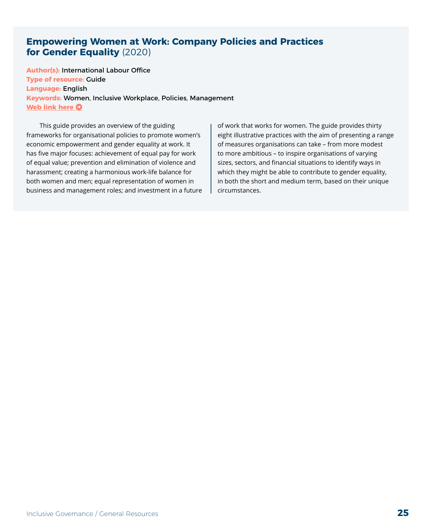#### <span id="page-24-0"></span>**Empowering Women at Work: Company Policies and Practices for Gender Equality** (2020)

**Author(s):** International Labour Office **Type of resource:** Guide **Language:** English **Keywords:** Women, Inclusive Workplace, Policies, Management **[Web link here](https://www.ilo.org/wcmsp5/groups/public/---ed_emp/---emp_ent/---multi/documents/publication/wcms_756721.pdf) O** 

This guide provides an overview of the guiding frameworks for organisational policies to promote women's economic empowerment and gender equality at work. It has five major focuses: achievement of equal pay for work of equal value; prevention and elimination of violence and harassment; creating a harmonious work-life balance for both women and men; equal representation of women in business and management roles; and investment in a future of work that works for women. The guide provides thirty eight illustrative practices with the aim of presenting a range of measures organisations can take – from more modest to more ambitious – to inspire organisations of varying sizes, sectors, and financial situations to identify ways in which they might be able to contribute to gender equality, in both the short and medium term, based on their unique circumstances.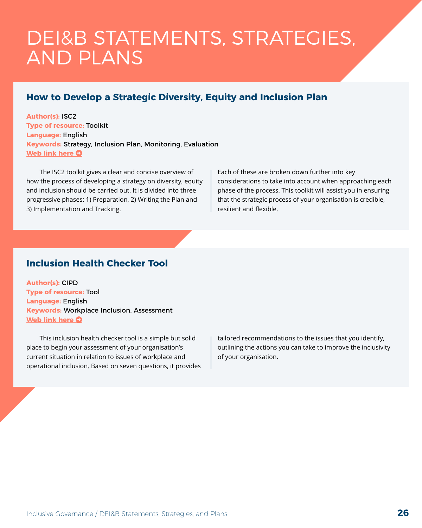### <span id="page-25-0"></span>DEI&B STATEMENTS, STRATEGIES, AND PLANS

### **How to Develop a Strategic Diversity, Equity and Inclusion Plan**

**Author(s):** ISC2 **Type of resource:** Toolkit **Language:** English **Keywords:** Strategy, Inclusion Plan, Monitoring, Evaluation **[Web link here](https://www.isc2.org/-/media/ISC2/DEI/How-to-Develop-a-Strategic-DEI-Plan.ashx?la=en&hash=B96C48EAF4BA77E4A7050771FBE62B64E8622C86) O** 

The ISC2 toolkit gives a clear and concise overview of how the process of developing a strategy on diversity, equity and inclusion should be carried out. It is divided into three progressive phases: 1) Preparation, 2) Writing the Plan and 3) Implementation and Tracking.

Each of these are broken down further into key considerations to take into account when approaching each phase of the process. This toolkit will assist you in ensuring that the strategic process of your organisation is credible, resilient and flexible.

#### **Inclusion Health Checker Tool**

**Author(s):** CIPD **Type of resource:** Tool **Language:** English **Keywords:** Workplace Inclusion, Assessment **[Web link here](https://www.cipd.co.uk/knowledge/fundamentals/relations/diversity/inclusion-health-checker-tool) O** 

This inclusion health checker tool is a simple but solid place to begin your assessment of your organisation's current situation in relation to issues of workplace and operational inclusion. Based on seven questions, it provides tailored recommendations to the issues that you identify, outlining the actions you can take to improve the inclusivity of your organisation.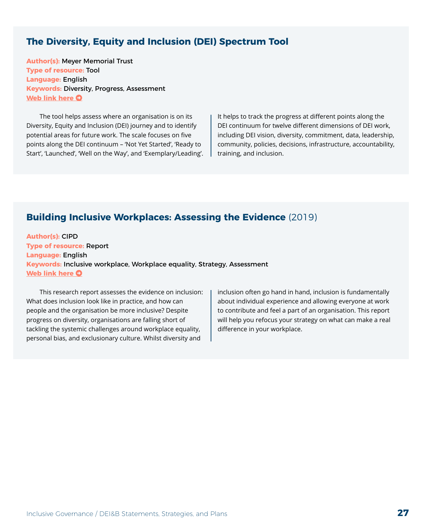#### <span id="page-26-0"></span>**The Diversity, Equity and Inclusion (DEI) Spectrum Tool**

**Author(s):** Meyer Memorial Trust **Type of resource:** Tool **Language:** English **Keywords:** Diversity, Progress, Assessment **[Web link here](https://mmt.org/sites/default/files/Meyer%20DEI%20Spectrum%20Tool%202018.pdf) O** 

The tool helps assess where an organisation is on its Diversity, Equity and Inclusion (DEI) journey and to identify potential areas for future work. The scale focuses on five points along the DEI continuum – 'Not Yet Started', 'Ready to Start', 'Launched', 'Well on the Way', and 'Exemplary/Leading'. It helps to track the progress at different points along the DEI continuum for twelve different dimensions of DEI work, including DEI vision, diversity, commitment, data, leadership, community, policies, decisions, infrastructure, accountability, training, and inclusion.

#### **Building Inclusive Workplaces: Assessing the Evidence** (2019)

**Author(s):** CIPD **Type of resource:** Report **Language:** English **Keywords:** Inclusive workplace, Workplace equality, Strategy, Assessment **[Web link here](https://www.cipd.co.uk/knowledge/fundamentals/relations/diversity/building-inclusive-workplaces) O** 

This research report assesses the evidence on inclusion: What does inclusion look like in practice, and how can people and the organisation be more inclusive? Despite progress on diversity, organisations are falling short of tackling the systemic challenges around workplace equality, personal bias, and exclusionary culture. Whilst diversity and

inclusion often go hand in hand, inclusion is fundamentally about individual experience and allowing everyone at work to contribute and feel a part of an organisation. This report will help you refocus your strategy on what can make a real difference in your workplace.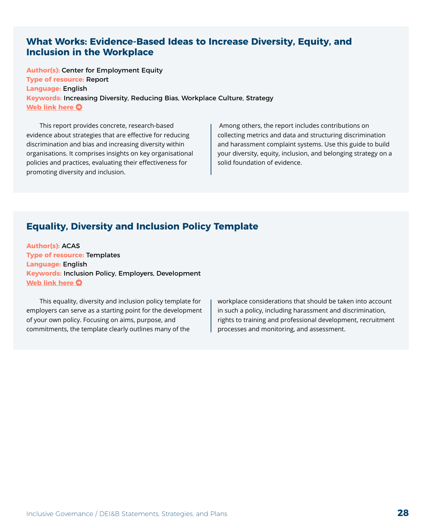#### <span id="page-27-0"></span>**What Works: Evidence-Based Ideas to Increase Diversity, Equity, and Inclusion in the Workplace**

**Author(s):** Center for Employment Equity **Type of resource:** Report **Language:** English **Keywords:** Increasing Diversity, Reducing Bias, Workplace Culture, Strategy **[Web link here](https://www.umass.edu/employmentequity/what-works-evidence-based-ideas-increase-diversity-equity-and-inclusion-workplace) O** 

This report provides concrete, research-based evidence about strategies that are effective for reducing discrimination and bias and increasing diversity within organisations. It comprises insights on key organisational policies and practices, evaluating their effectiveness for promoting diversity and inclusion.

 Among others, the report includes contributions on collecting metrics and data and structuring discrimination and harassment complaint systems. Use this guide to build your diversity, equity, inclusion, and belonging strategy on a solid foundation of evidence.

### **Equality, Diversity and Inclusion Policy Template**

**Author(s):** ACAS **Type of resource:** Templates **Language:** English **Keywords:** Inclusion Policy, Employers, Development **[Web link here](https://www.acas.org.uk/equality-policy-template) O** 

This equality, diversity and inclusion policy template for employers can serve as a starting point for the development of your own policy. Focusing on aims, purpose, and commitments, the template clearly outlines many of the

workplace considerations that should be taken into account in such a policy, including harassment and discrimination, rights to training and professional development, recruitment processes and monitoring, and assessment.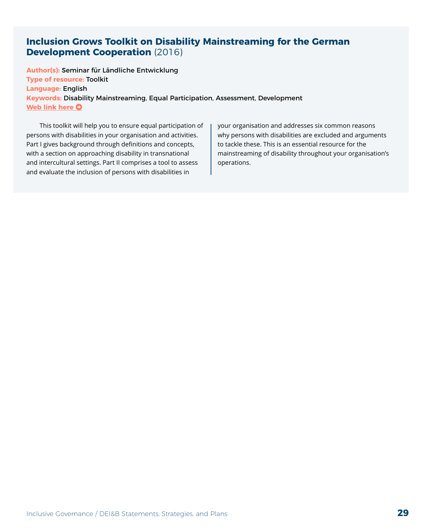#### <span id="page-28-0"></span>**Inclusion Grows Toolkit on Disability Mainstreaming for the German Development Cooperation** (2016)

**Author(s):** Seminar für Ländliche Entwicklung **Type of resource:** Toolkit **Language:** English **Keywords:** Disability Mainstreaming, Equal Participation, Assessment, Development **[Web link here](https://edoc.hu-berlin.de/bitstream/handle/18452/3866/265-2.pdf?sequence=1&isAllowed=y) O** 

This toolkit will help you to ensure equal participation of persons with disabilities in your organisation and activities. Part I gives background through definitions and concepts, with a section on approaching disability in transnational and intercultural settings. Part II comprises a tool to assess and evaluate the inclusion of persons with disabilities in

your organisation and addresses six common reasons why persons with disabilities are excluded and arguments to tackle these. This is an essential resource for the mainstreaming of disability throughout your organisation's operations.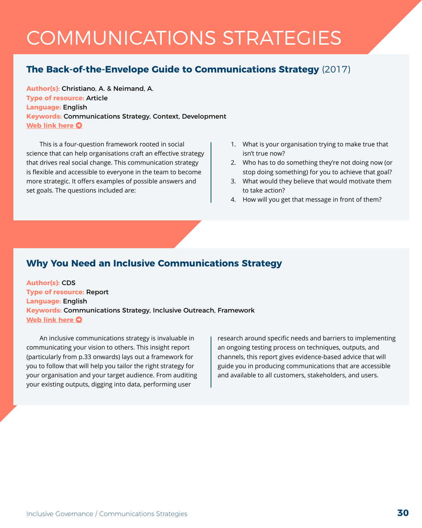## <span id="page-29-0"></span>COMMUNICATIONS STRATEGIES

### **The Back-of-the-Envelope Guide to Communications Strategy** (2017)

**Author(s):** Christiano, A. & Neimand, A. **Type of resource:** Article **Language:** English **Keywords:** Communications Strategy, Context, Development **[Web link here](https://ssir.org/articles/entry/the_back_of_the_envelope_guide_to_communications_strategy) O** 

This is a four-question framework rooted in social science that can help organisations craft an effective strategy that drives real social change. This communication strategy is flexible and accessible to everyone in the team to become more strategic. It offers examples of possible answers and set goals. The questions included are:

- 1. What is your organisation trying to make true that isn't true now?
- 2. Who has to do something they're not doing now (or stop doing something) for you to achieve that goal?
- 3. What would they believe that would motivate them to take action?
- 4. How will you get that message in front of them?

#### **Why You Need an Inclusive Communications Strategy**

**Author(s):** CDS **Type of resource:** Report **Language:** English **Keywords:** Communications Strategy, Inclusive Outreach, Framework **[Web link here](https://info.cds.co.uk/hubfs/documents/WhyYouNeedInclusiveStrategy.pdf) O** 

An inclusive communications strategy is invaluable in communicating your vision to others. This insight report (particularly from p.33 onwards) lays out a framework for you to follow that will help you tailor the right strategy for your organisation and your target audience. From auditing your existing outputs, digging into data, performing user

research around specific needs and barriers to implementing an ongoing testing process on techniques, outputs, and channels, this report gives evidence-based advice that will guide you in producing communications that are accessible and available to all customers, stakeholders, and users.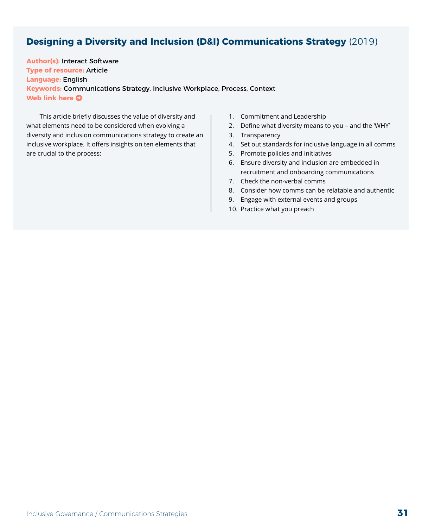### <span id="page-30-0"></span>**Designing a Diversity and Inclusion (D&I) Communications Strategy** (2019)

**Author(s):** Interact Software **Type of resource:** Article **Language:** English **Keywords:** Communications Strategy, Inclusive Workplace, Process, Context **[Web link here](https://www.interactsoftware.com/blog/diversity-inclusion-communications-strategy) O** 

This article briefly discusses the value of diversity and what elements need to be considered when evolving a diversity and inclusion communications strategy to create an inclusive workplace. It offers insights on ten elements that are crucial to the process:

- 1. Commitment and Leadership
- 2. Define what diversity means to you and the 'WHY'
- 3. Transparency
- 4. Set out standards for inclusive language in all comms
- 5. Promote policies and initiatives
- 6. Ensure diversity and inclusion are embedded in recruitment and onboarding communications
- 7. Check the non-verbal comms
- 8. Consider how comms can be relatable and authentic
- 9. Engage with external events and groups
- 10. Practice what you preach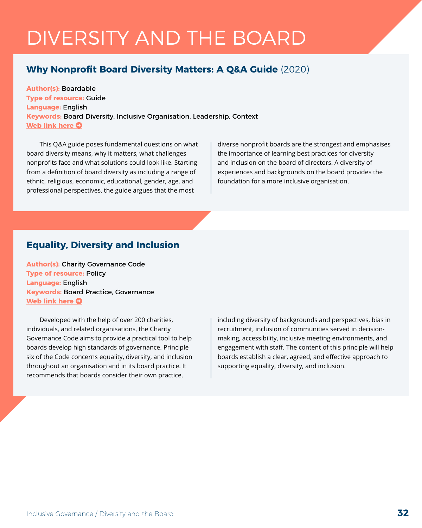## <span id="page-31-0"></span>DIVERSITY AND THE BOARD

#### **Why Nonprofit Board Diversity Matters: A Q&A Guide** (2020)

**Author(s):** Boardable **Type of resource:** Guide **Language:** English **Keywords:** Board Diversity, Inclusive Organisation, Leadership, Context **[Web link here](https://boardable.com/blog/board-diversity/) O** 

This Q&A guide poses fundamental questions on what board diversity means, why it matters, what challenges nonprofits face and what solutions could look like. Starting from a definition of board diversity as including a range of ethnic, religious, economic, educational, gender, age, and professional perspectives, the guide argues that the most

diverse nonprofit boards are the strongest and emphasises the importance of learning best practices for diversity and inclusion on the board of directors. A diversity of experiences and backgrounds on the board provides the foundation for a more inclusive organisation.

#### **Equality, Diversity and Inclusion**

**Author(s):** Charity Governance Code **Type of resource:** Policy **Language:** English **Keywords:** Board Practice, Governance **[Web link here](https://www.charitygovernancecode.org/en/6-diversity) O** 

Developed with the help of over 200 charities, individuals, and related organisations, the Charity Governance Code aims to provide a practical tool to help boards develop high standards of governance. Principle six of the Code concerns equality, diversity, and inclusion throughout an organisation and in its board practice. It recommends that boards consider their own practice,

including diversity of backgrounds and perspectives, bias in recruitment, inclusion of communities served in decisionmaking, accessibility, inclusive meeting environments, and engagement with staff. The content of this principle will help boards establish a clear, agreed, and effective approach to supporting equality, diversity, and inclusion.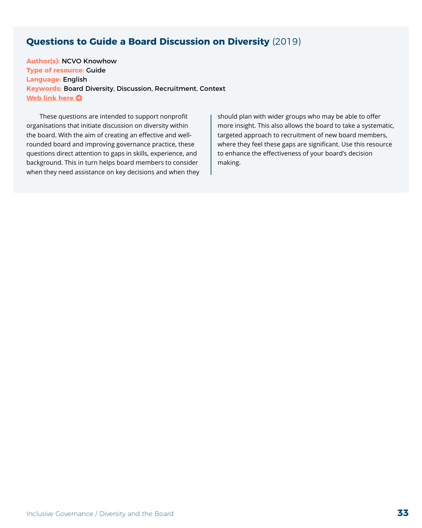#### <span id="page-32-0"></span>**Questions to Guide a Board Discussion on Diversity** (2019)

**Author(s):** NCVO Knowhow **Type of resource:** Guide **Language:** English **Keywords:** Board Diversity, Discussion, Recruitment, Context **[Web link here](https://knowhow.ncvo.org.uk/governance/improving-your-governance-practice/trustee-diversity/questions-to-guide-a-board-discussion-on-diversity) O** 

These questions are intended to support nonprofit organisations that initiate discussion on diversity within the board. With the aim of creating an effective and wellrounded board and improving governance practice, these questions direct attention to gaps in skills, experience, and background. This in turn helps board members to consider when they need assistance on key decisions and when they should plan with wider groups who may be able to offer more insight. This also allows the board to take a systematic, targeted approach to recruitment of new board members, where they feel these gaps are significant. Use this resource to enhance the effectiveness of your board's decision making.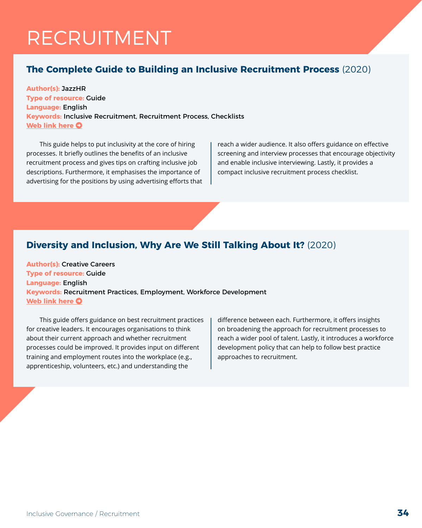### <span id="page-33-0"></span>RECRUITMENT

### **The Complete Guide to Building an Inclusive Recruitment Process** (2020)

**Author(s):** JazzHR **Type of resource:** Guide **Language:** English **Keywords:** Inclusive Recruitment, Recruitment Process, Checklists **[Web link here](https://www.hrmorning.com/wp-content/uploads/2020/11/JazzHR-Inclusive-Recruitment-PDF.pdf) O** 

This guide helps to put inclusivity at the core of hiring processes. It briefly outlines the benefits of an inclusive recruitment process and gives tips on crafting inclusive job descriptions. Furthermore, it emphasises the importance of advertising for the positions by using advertising efforts that reach a wider audience. It also offers guidance on effective screening and interview processes that encourage objectivity and enable inclusive interviewing. Lastly, it provides a compact inclusive recruitment process checklist.

### **Diversity and Inclusion, Why Are We Still Talking About It?** (2020)

**Author(s):** Creative Careers **Type of resource:** Guide **Language:** English **Keywords:** Recruitment Practices, Employment, Workforce Development **[Web link here](https://discovercreative.careers/media/enrhg2ck/best-practice-recruitment-guide-for-creative-leaders.pdf) O** 

This guide offers guidance on best recruitment practices for creative leaders. It encourages organisations to think about their current approach and whether recruitment processes could be improved. It provides input on different training and employment routes into the workplace (e.g., apprenticeship, volunteers, etc.) and understanding the

difference between each. Furthermore, it offers insights on broadening the approach for recruitment processes to reach a wider pool of talent. Lastly, it introduces a workforce development policy that can help to follow best practice approaches to recruitment.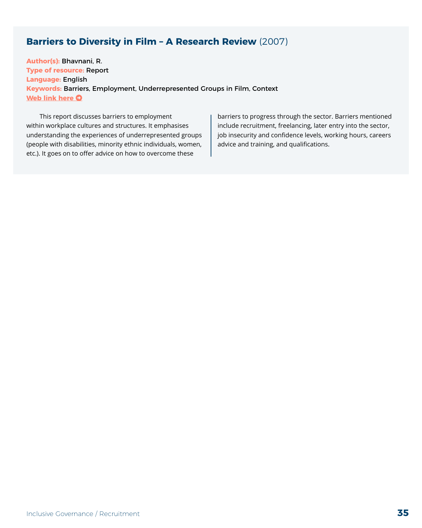#### <span id="page-34-0"></span>**Barriers to Diversity in Film – A Research Review** (2007)

**Author(s):** Bhavnani, R. **Type of resource:** Report **Language:** English **Keywords:** Barriers, Employment, Underrepresented Groups in Film, Context **[Web link here](https://www.yumpu.com/en/document/read/18620874/barriers-to-diversity-in-film-a-research-review-aug-07) O** 

This report discusses barriers to employment within workplace cultures and structures. It emphasises understanding the experiences of underrepresented groups (people with disabilities, minority ethnic individuals, women, etc.). It goes on to offer advice on how to overcome these

barriers to progress through the sector. Barriers mentioned include recruitment, freelancing, later entry into the sector, job insecurity and confidence levels, working hours, careers advice and training, and qualifications.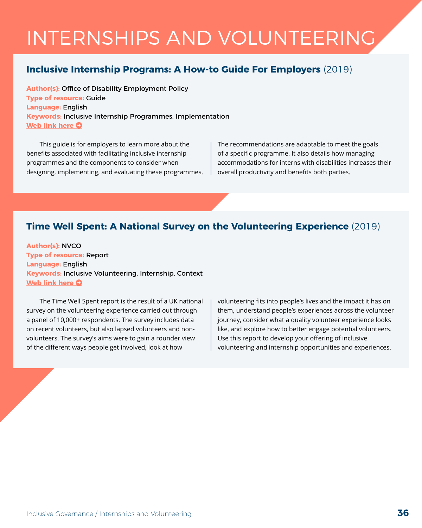## <span id="page-35-0"></span>INTERNSHIPS AND VOLUNTEERING

#### **Inclusive Internship Programs: A How-to Guide For Employers** (2019)

**Author(s):** Office of Disability Employment Policy **Type of resource:** Guide **Language:** English **Keywords:** Inclusive Internship Programmes, Implementation **[Web link here](https://www.yumpu.com/en/document/view/53868921/inclusive-internship-programs-a-how-to-guide-for-employers) O** 

This guide is for employers to learn more about the benefits associated with facilitating inclusive internship programmes and the components to consider when designing, implementing, and evaluating these programmes. The recommendations are adaptable to meet the goals of a specific programme. It also details how managing accommodations for interns with disabilities increases their overall productivity and benefits both parties.

#### **Time Well Spent: A National Survey on the Volunteering Experience** (2019)

**Author(s):** NVCO **Type of resource:** Report **Language:** English **Keywords:** Inclusive Volunteering, Internship, Context **[Web link here](https://www.ncvo.org.uk/policy-and-research/volunteering-policy/research/time-well-spent)**  $\bullet$ 

The Time Well Spent report is the result of a UK national survey on the volunteering experience carried out through a panel of 10,000+ respondents. The survey includes data on recent volunteers, but also lapsed volunteers and nonvolunteers. The survey's aims were to gain a rounder view of the different ways people get involved, look at how

volunteering fits into people's lives and the impact it has on them, understand people's experiences across the volunteer journey, consider what a quality volunteer experience looks like, and explore how to better engage potential volunteers. Use this report to develop your offering of inclusive volunteering and internship opportunities and experiences.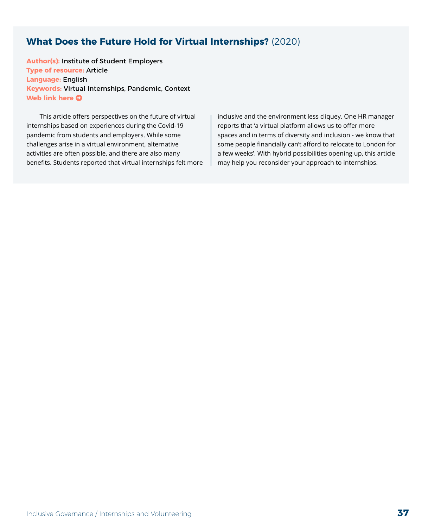#### **What Does the Future Hold for Virtual Internships?** (2020)

**Author(s):** Institute of Student Employers **Type of resource:** Article **Language:** English **Keywords:** Virtual Internships, Pandemic, Context **[Web link here](https://insights.ise.org.uk/attraction-and-marketing/blog-what-does-the-future-hold-for-virtual-internships/) O** 

This article offers perspectives on the future of virtual internships based on experiences during the Covid-19 pandemic from students and employers. While some challenges arise in a virtual environment, alternative activities are often possible, and there are also many benefits. Students reported that virtual internships felt more inclusive and the environment less cliquey. One HR manager reports that 'a virtual platform allows us to offer more spaces and in terms of diversity and inclusion - we know that some people financially can't afford to relocate to London for a few weeks'. With hybrid possibilities opening up, this article may help you reconsider your approach to internships.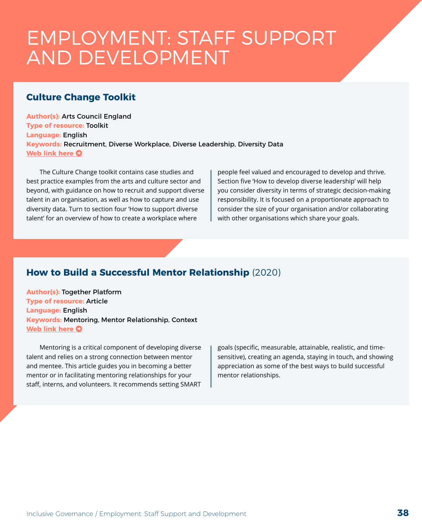### EMPLOYMENT: STAFF SUPPORT AND DEVELOPMENT

#### **Culture Change Toolkit**

**Author(s):** Arts Council England **Type of resource:** Toolkit **Language:** English **Keywords:** Recruitment, Diverse Workplace, Diverse Leadership, Diversity Data **[Web link here](https://www.artscouncil.org.uk/guidance-and-resources/culture-change-toolkit#section-1) O** 

The Culture Change toolkit contains case studies and best practice examples from the arts and culture sector and beyond, with guidance on how to recruit and support diverse talent in an organisation, as well as how to capture and use diversity data. Turn to section four 'How to support diverse talent' for an overview of how to create a workplace where

people feel valued and encouraged to develop and thrive. Section five 'How to develop diverse leadership' will help you consider diversity in terms of strategic decision-making responsibility. It is focused on a proportionate approach to consider the size of your organisation and/or collaborating with other organisations which share your goals.

#### **How to Build a Successful Mentor Relationship** (2020)

**Author(s):** Together Platform **Type of resource: Article Language:** English **Keywords:** Mentoring, Mentor Relationship, Context **[Web link here](https://www.togetherplatform.com/blog/how-to-build-a-successful-mentor-relationship) O** 

Mentoring is a critical component of developing diverse talent and relies on a strong connection between mentor and mentee. This article guides you in becoming a better mentor or in facilitating mentoring relationships for your staff, interns, and volunteers. It recommends setting SMART goals (specific, measurable, attainable, realistic, and timesensitive), creating an agenda, staying in touch, and showing appreciation as some of the best ways to build successful mentor relationships.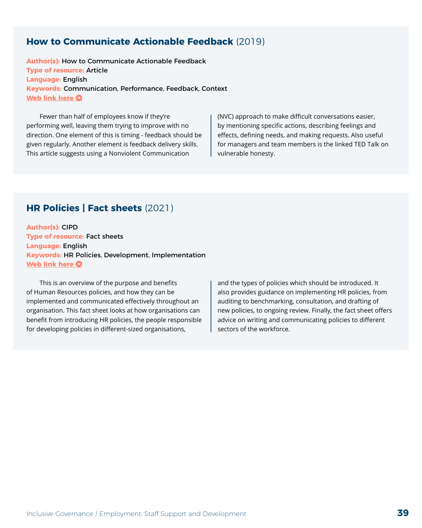#### **How to Communicate Actionable Feedback** (2019)

**Author(s):** How to Communicate Actionable Feedback **Type of resource:** Article **Language:** English **Keywords:** Communication, Performance, Feedback, Context **[Web link here](https://www.epicflow.com/blog/how-to-communicate-actionable-feedback/) O** 

Fewer than half of employees know if they're performing well, leaving them trying to improve with no direction. One element of this is timing - feedback should be given regularly. Another element is feedback delivery skills. This article suggests using a Nonviolent Communication

(NVC) approach to make difficult conversations easier, by mentioning specific actions, describing feelings and effects, defining needs, and making requests. Also useful for managers and team members is the linked TED Talk on vulnerable honesty.

#### **HR Policies | Fact sheets** (2021)

**Author(s):** CIPD **Type of resource:** Fact sheets **Language:** English **Keywords:** HR Policies, Development, Implementation **[Web link here](https://www.cipd.co.uk/knowledge/fundamentals/people/hr/policies-factsheet)**  $\Omega$ 

This is an overview of the purpose and benefits of Human Resources policies, and how they can be implemented and communicated effectively throughout an organisation. This fact sheet looks at how organisations can benefit from introducing HR policies, the people responsible for developing policies in different-sized organisations,

and the types of policies which should be introduced. It also provides guidance on implementing HR policies, from auditing to benchmarking, consultation, and drafting of new policies, to ongoing review. Finally, the fact sheet offers advice on writing and communicating policies to different sectors of the workforce.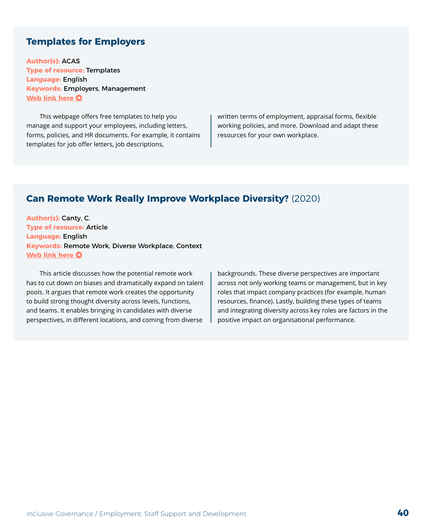#### **Templates for Employers**

**Author(s):** ACAS **Type of resource:** Templates **Language:** English **Keywords:** Employers, Management **[Web link here](https://www.acas.org.uk/templates-for-employers) O** 

This webpage offers free templates to help you manage and support your employees, including letters, forms, policies, and HR documents. For example, it contains templates for job offer letters, job descriptions,

written terms of employment, appraisal forms, flexible working policies, and more. Download and adapt these resources for your own workplace.

#### **Can Remote Work Really Improve Workplace Diversity?** (2020)

**Author(s):** Canty, C. **Type of resource:** Article **Language:** English **Keywords:** Remote Work, Diverse Workplace, Context **[Web link here](https://www.fastcompany.com/90525652/can-remote-work-live-up-to-its-potential-to-change-workplace-diversity) O** 

This article discusses how the potential remote work has to cut down on biases and dramatically expand on talent pools. It argues that remote work creates the opportunity to build strong thought diversity across levels, functions, and teams. It enables bringing in candidates with diverse perspectives, in different locations, and coming from diverse

backgrounds. These diverse perspectives are important across not only working teams or management, but in key roles that impact company practices (for example, human resources, finance). Lastly, building these types of teams and integrating diversity across key roles are factors in the positive impact on organisational performance.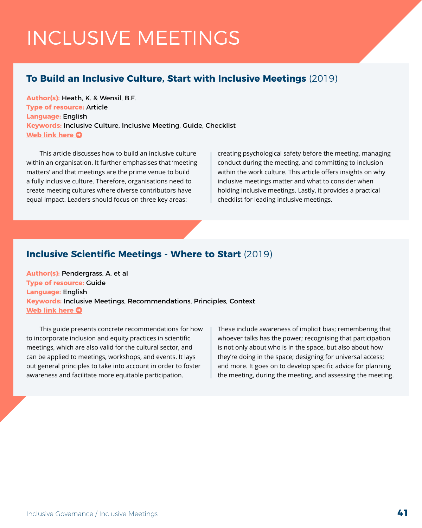## INCLUSIVE MEETINGS

#### **To Build an Inclusive Culture, Start with Inclusive Meetings** (2019)

**Author(s):** Heath, K. & Wensil, B.F. **Type of resource:** Article **Language:** English **Keywords:** Inclusive Culture, Inclusive Meeting, Guide, Checklist **[Web link here](https://hbr.org/2019/09/to-build-an-inclusive-culture-start-with-inclusive-meetings) O** 

This article discusses how to build an inclusive culture within an organisation. It further emphasises that 'meeting matters' and that meetings are the prime venue to build a fully inclusive culture. Therefore, organisations need to create meeting cultures where diverse contributors have equal impact. Leaders should focus on three key areas:

creating psychological safety before the meeting, managing conduct during the meeting, and committing to inclusion within the work culture. This article offers insights on why inclusive meetings matter and what to consider when holding inclusive meetings. Lastly, it provides a practical checklist for leading inclusive meetings.

#### **Inclusive Scientific Meetings - Where to Start** (2019)

**Author(s):** Pendergrass, A. et al **Type of resource:** Guide **Language:** English **Keywords:** Inclusive Meetings, Recommendations, Principles, Context **[Web link here](https://diversity.ldeo.columbia.edu/sites/default/files/content/AGCI%20NCAR%20Inclusive%20Meeting%20Guide.pdf) O** 

This guide presents concrete recommendations for how to incorporate inclusion and equity practices in scientific meetings, which are also valid for the cultural sector, and can be applied to meetings, workshops, and events. It lays out general principles to take into account in order to foster awareness and facilitate more equitable participation.

These include awareness of implicit bias; remembering that whoever talks has the power; recognising that participation is not only about who is in the space, but also about how they're doing in the space; designing for universal access; and more. It goes on to develop specific advice for planning the meeting, during the meeting, and assessing the meeting.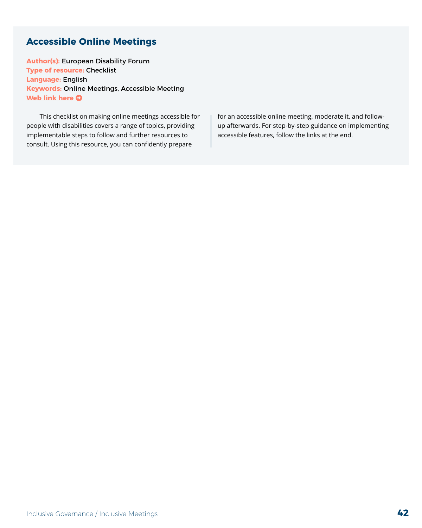#### **Accessible Online Meetings**

**Author(s):** European Disability Forum **Type of resource:** Checklist **Language:** English **Keywords:** Online Meetings, Accessible Meeting **[Web link here](https://www.edf-feph.org/accesible-online-meetings/) O** 

This checklist on making online meetings accessible for people with disabilities covers a range of topics, providing implementable steps to follow and further resources to consult. Using this resource, you can confidently prepare

for an accessible online meeting, moderate it, and followup afterwards. For step-by-step guidance on implementing accessible features, follow the links at the end.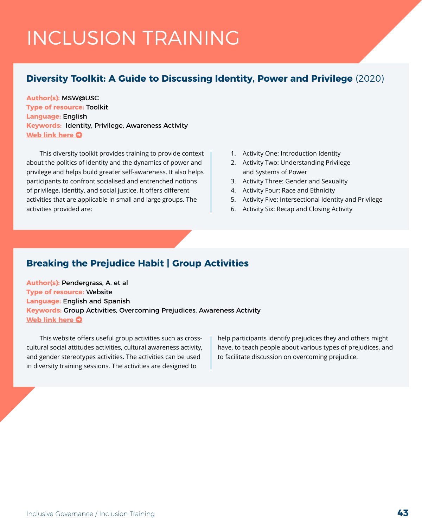## INCLUSION TRAINING

#### **Diversity Toolkit: A Guide to Discussing Identity, Power and Privilege** (2020)

**Author(s):** MSW@USC **Type of resource:** Toolkit **Language:** English **Keywords:** Identity, Privilege, Awareness Activity **[Web link here](https://msw.usc.edu/mswusc-blog/diversity-workshop-guide-to-discussing-identity-power-and-privilege/) O** 

This diversity toolkit provides training to provide context about the politics of identity and the dynamics of power and privilege and helps build greater self-awareness. It also helps participants to confront socialised and entrenched notions of privilege, identity, and social justice. It offers different activities that are applicable in small and large groups. The activities provided are:

- 1. Activity One: Introduction Identity
- 2. Activity Two: Understanding Privilege and Systems of Power
- 3. Activity Three: Gender and Sexuality
- 4. Activity Four: Race and Ethnicity
- 5. Activity Five: Intersectional Identity and Privilege
- 6. Activity Six: Recap and Closing Activity

#### **Breaking the Prejudice Habit | Group Activities**

**Author(s):** Pendergrass, A. et al **Type of resource:** Website **Language:** English and Spanish **Keywords:** Group Activities, Overcoming Prejudices, Awareness Activity **[Web link here](http://breakingprejudice.org/teaching/group-activities/) O** 

This website offers useful group activities such as crosscultural social attitudes activities, cultural awareness activity, and gender stereotypes activities. The activities can be used in diversity training sessions. The activities are designed to

help participants identify prejudices they and others might have, to teach people about various types of prejudices, and to facilitate discussion on overcoming prejudice.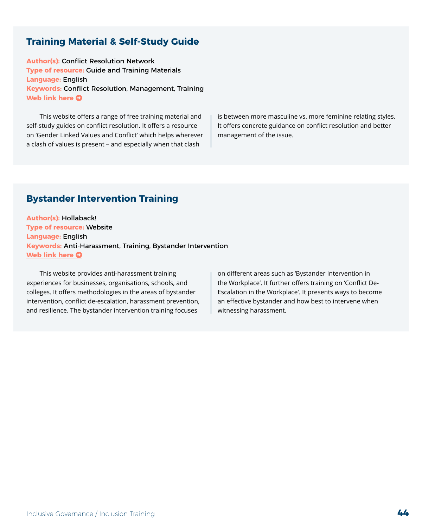#### **Training Material & Self-Study Guide**

**Author(s):** Conflict Resolution Network **Type of resource:** Guide and Training Materials **Language:** English **Keywords:** Conflict Resolution, Management, Training **[Web link here](https://www.crnhq.org/free-resources/) O** 

This website offers a range of free training material and self-study guides on conflict resolution. It offers a resource on 'Gender Linked Values and Conflict' which helps wherever a clash of values is present – and especially when that clash

is between more masculine vs. more feminine relating styles. It offers concrete guidance on conflict resolution and better management of the issue.

#### **Bystander Intervention Training**

**Author(s):** Hollaback! **Type of resource:** Website **Language:** English **Keywords:** Anti-Harassment, Training, Bystander Intervention **[Web link here](https://www.ihollaback.org/harassmenttraining/) O** 

This website provides anti-harassment training experiences for businesses, organisations, schools, and colleges. It offers methodologies in the areas of bystander intervention, conflict de-escalation, harassment prevention, and resilience. The bystander intervention training focuses

on different areas such as 'Bystander Intervention in the Workplace'. It further offers training on 'Conflict De-Escalation in the Workplace'. It presents ways to become an effective bystander and how best to intervene when witnessing harassment.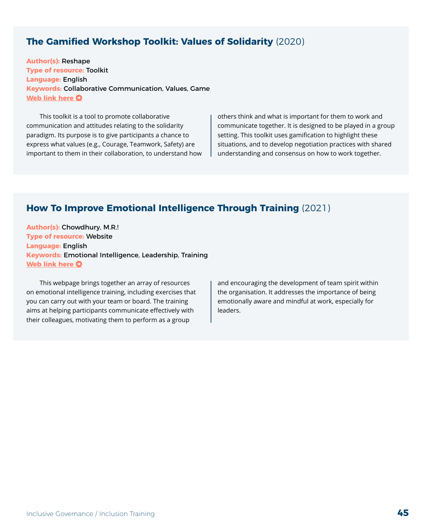#### **The Gamified Workshop Toolkit: Values of Solidarity** (2020)

**Author(s):** Reshape **Type of resource:** Toolkit **Language:** English **Keywords:** Collaborative Communication, Values, Game **[Web link here](https://reshape.network/prototype/the-gamified-workshop-toolkit-values-of-solidarity) O** 

This toolkit is a tool to promote collaborative communication and attitudes relating to the solidarity paradigm. Its purpose is to give participants a chance to express what values (e.g., Courage, Teamwork, Safety) are important to them in their collaboration, to understand how others think and what is important for them to work and communicate together. It is designed to be played in a group setting. This toolkit uses gamification to highlight these situations, and to develop negotiation practices with shared understanding and consensus on how to work together.

#### **How To Improve Emotional Intelligence Through Training** (2021)

**Author(s):** Chowdhury, M.R.! **Type of resource:** Website **Language:** English **Keywords:** Emotional Intelligence, Leadership, Training **[Web link here](https://positivepsychology.com/emotional-intelligence-training/) O** 

This webpage brings together an array of resources on emotional intelligence training, including exercises that you can carry out with your team or board. The training aims at helping participants communicate effectively with their colleagues, motivating them to perform as a group

and encouraging the development of team spirit within the organisation. It addresses the importance of being emotionally aware and mindful at work, especially for leaders.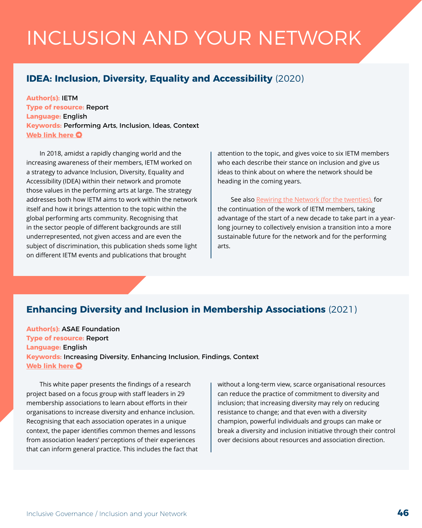## INCLUSION AND YOUR NETWORK

#### **IDEA: Inclusion, Diversity, Equality and Accessibility** (2020)

**Author(s):** IETM **Type of resource:** Report **Language:** English **Keywords:** Performing Arts, Inclusion, Ideas, Context **[Web link here](https://www.ietm.org/en/resources/mappings/idea-inclusion-diversity-equality-and-accessibility) O** 

In 2018, amidst a rapidly changing world and the increasing awareness of their members, IETM worked on a strategy to advance Inclusion, Diversity, Equality and Accessibility (IDEA) within their network and promote those values in the performing arts at large. The strategy addresses both how IETM aims to work within the network itself and how it brings attention to the topic within the global performing arts community. Recognising that in the sector people of different backgrounds are still underrepresented, not given access and are even the subject of discrimination, this publication sheds some light on different IETM events and publications that brought

attention to the topic, and gives voice to six IETM members who each describe their stance on inclusion and give us ideas to think about on where the network should be heading in the coming years.

See also [Rewiring the Network \(for the twenties\),](https://www.ietm.org/en/rewiring-the-network-resetting-the-ietm-agenda-for-the-twenties) for the continuation of the work of IETM members, taking advantage of the start of a new decade to take part in a yearlong journey to collectively envision a transition into a more sustainable future for the network and for the performing arts.

#### **Enhancing Diversity and Inclusion in Membership Associations** (2021)

**Author(s):** ASAE Foundation **Type of resource:** Report **Language:** English **Keywords:** Increasing Diversity, Enhancing Inclusion, Findings, Context **[Web link here](https://foundation.asaecenter.org/-/media/Foundation/Files/Enhancing_Diversity.ashx?la=en&hash=D6824CC668DDCBD3262E08E267D377DD7D80094E)**  $\bullet$ 

This white paper presents the findings of a research project based on a focus group with staff leaders in 29 membership associations to learn about efforts in their organisations to increase diversity and enhance inclusion. Recognising that each association operates in a unique context, the paper identifies common themes and lessons from association leaders' perceptions of their experiences that can inform general practice. This includes the fact that without a long-term view, scarce organisational resources can reduce the practice of commitment to diversity and inclusion; that increasing diversity may rely on reducing resistance to change; and that even with a diversity champion, powerful individuals and groups can make or break a diversity and inclusion initiative through their control over decisions about resources and association direction.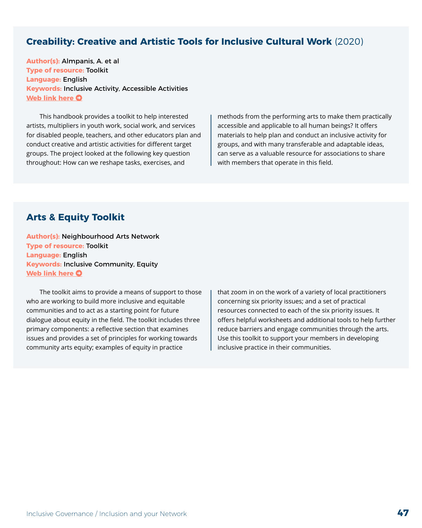#### **Creability: Creative and Artistic Tools for Inclusive Cultural Work** (2020)

**Author(s):** Almpanis, A. et al **Type of resource:** Toolkit **Language:** English **Keywords:** Inclusive Activity, Accessible Activities **[Web link here](https://un-label.eu/wp-content/uploads/Creability-Practical-Guide-EN.pdf) O** 

This handbook provides a toolkit to help interested artists, multipliers in youth work, social work, and services for disabled people, teachers, and other educators plan and conduct creative and artistic activities for different target groups. The project looked at the following key question throughout: How can we reshape tasks, exercises, and

methods from the performing arts to make them practically accessible and applicable to all human beings? It offers materials to help plan and conduct an inclusive activity for groups, and with many transferable and adaptable ideas, can serve as a valuable resource for associations to share with members that operate in this field.

#### **Arts & Equity Toolkit**

**Author(s):** Neighbourhood Arts Network **Type of resource:** Toolkit **Language:** English **Keywords:** Inclusive Community, Equity **[Web link here](https://www.chapmanculturalcenter.org/site/user/files/1/ArtsEquityToolkit.pdf) O** 

The toolkit aims to provide a means of support to those who are working to build more inclusive and equitable communities and to act as a starting point for future dialogue about equity in the field. The toolkit includes three primary components: a reflective section that examines issues and provides a set of principles for working towards community arts equity; examples of equity in practice

that zoom in on the work of a variety of local practitioners concerning six priority issues; and a set of practical resources connected to each of the six priority issues. It offers helpful worksheets and additional tools to help further reduce barriers and engage communities through the arts. Use this toolkit to support your members in developing inclusive practice in their communities.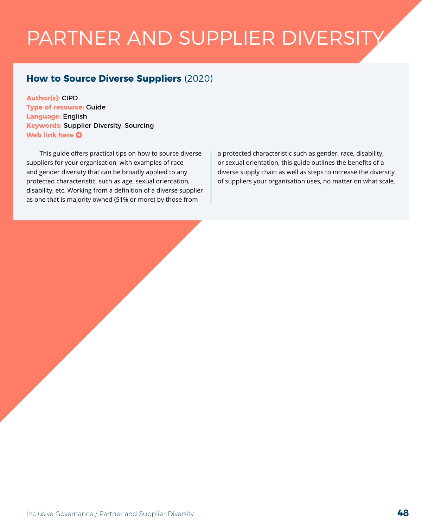## PARTNER AND SUPPLIER DIVERSITY

#### **How to Source Diverse Suppliers** (2020)

**Author(s):** CIPD **Type of resource:** Guide **Language:** English **Keywords:** Supplier Diversity, Sourcing **[Web link here](https://www.cipd.co.uk/knowledge/fundamentals/relations/diversity/sourcing-diverse-suppliers) O** 

This guide offers practical tips on how to source diverse suppliers for your organisation, with examples of race and gender diversity that can be broadly applied to any protected characteristic, such as age, sexual orientation, disability, etc. Working from a definition of a diverse supplier as one that is majority owned (51% or more) by those from

a protected characteristic such as gender, race, disability, or sexual orientation, this guide outlines the benefits of a diverse supply chain as well as steps to increase the diversity of suppliers your organisation uses, no matter on what scale.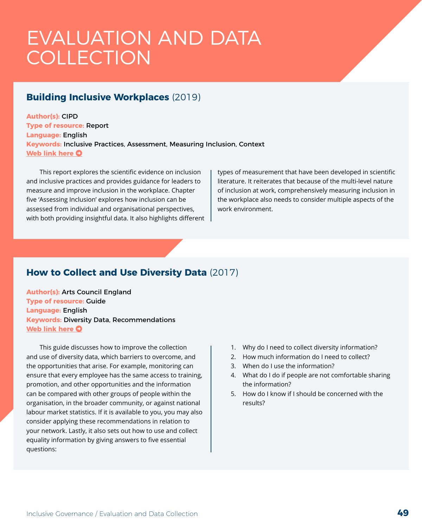### EVALUATION AND DATA COLLECTION

#### **Building Inclusive Workplaces** (2019)

**Author(s):** CIPD **Type of resource:** Report **Language:** English **Keywords:** Inclusive Practices, Assessment, Measuring Inclusion, Context **[Web link here](https://www.cipd.co.uk/Images/building-inclusive-workplaces-report-sept-2019_tcm18-64154.pdf) O** 

This report explores the scientific evidence on inclusion and inclusive practices and provides guidance for leaders to measure and improve inclusion in the workplace. Chapter five 'Assessing Inclusion' explores how inclusion can be assessed from individual and organisational perspectives, with both providing insightful data. It also highlights different types of measurement that have been developed in scientific literature. It reiterates that because of the multi-level nature of inclusion at work, comprehensively measuring inclusion in the workplace also needs to consider multiple aspects of the work environment.

#### **How to Collect and Use Diversity Data** (2017)

**Author(s):** Arts Council England **Type of resource:** Guide **Language:** English **Keywords:** Diversity Data, Recommendations **[Web link here](https://www.artscouncil.org.uk/sites/default/files/download-file/How%20to%20collect%20and%20use%20diversity%20data_0.pdf) O** 

This guide discusses how to improve the collection and use of diversity data, which barriers to overcome, and the opportunities that arise. For example, monitoring can ensure that every employee has the same access to training, promotion, and other opportunities and the information can be compared with other groups of people within the organisation, in the broader community, or against national labour market statistics. If it is available to you, you may also consider applying these recommendations in relation to your network. Lastly, it also sets out how to use and collect equality information by giving answers to five essential questions:

- 1. Why do I need to collect diversity information?
- 2. How much information do I need to collect?
- 3. When do I use the information?
- 4. What do I do if people are not comfortable sharing the information?
- 5. How do I know if I should be concerned with the results?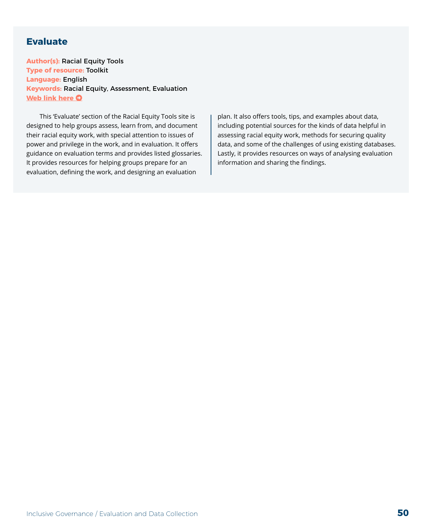#### **Evaluate**

**Author(s):** Racial Equity Tools **Type of resource:** Toolkit **Language:** English **Keywords:** Racial Equity, Assessment, Evaluation **[Web link here](https://www.racialequitytools.org/resources/evaluate) O** 

This 'Evaluate' section of the Racial Equity Tools site is designed to help groups assess, learn from, and document their racial equity work, with special attention to issues of power and privilege in the work, and in evaluation. It offers guidance on evaluation terms and provides listed glossaries. It provides resources for helping groups prepare for an evaluation, defining the work, and designing an evaluation

plan. It also offers tools, tips, and examples about data, including potential sources for the kinds of data helpful in assessing racial equity work, methods for securing quality data, and some of the challenges of using existing databases. Lastly, it provides resources on ways of analysing evaluation information and sharing the findings.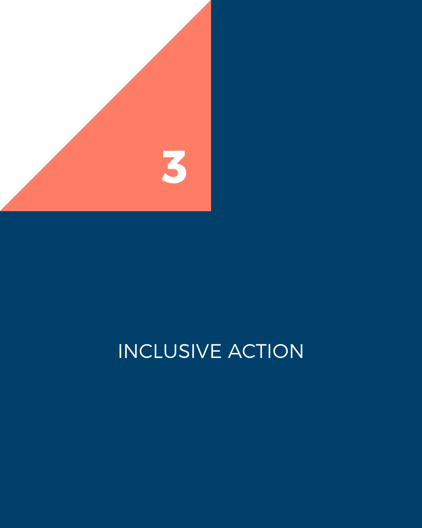

## INCLUSIVE ACTION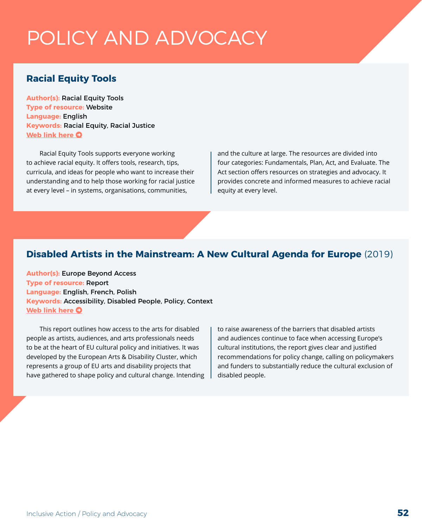### POLICY AND ADVOCACY

#### **Racial Equity Tools**

**Author(s):** Racial Equity Tools **Type of resource:** Website **Language:** English **Keywords:** Racial Equity, Racial Justice **[Web link here](https://www.racialequitytools.org/) O** 

Racial Equity Tools supports everyone working to achieve racial equity. It offers tools, research, tips, curricula, and ideas for people who want to increase their understanding and to help those working for racial justice at every level – in systems, organisations, communities,

and the culture at large. The resources are divided into four categories: Fundamentals, Plan, Act, and Evaluate. The Act section offers resources on strategies and advocacy. It provides concrete and informed measures to achieve racial equity at every level.

#### **Disabled Artists in the Mainstream: A New Cultural Agenda for Europe** (2019)

**Author(s):** Europe Beyond Access **Type of resource:** Report **Language:** English, French, Polish **Keywords:** Accessibility, Disabled People, Policy, Context **[Web link here](https://www.disabilityartsinternational.org/resources/report-launch-disabled-artists-in-the-mainstream-a-new-cultural-agenda-for-europe/) O** 

This report outlines how access to the arts for disabled people as artists, audiences, and arts professionals needs to be at the heart of EU cultural policy and initiatives. It was developed by the European Arts & Disability Cluster, which represents a group of EU arts and disability projects that have gathered to shape policy and cultural change. Intending to raise awareness of the barriers that disabled artists and audiences continue to face when accessing Europe's cultural institutions, the report gives clear and justified recommendations for policy change, calling on policymakers and funders to substantially reduce the cultural exclusion of disabled people.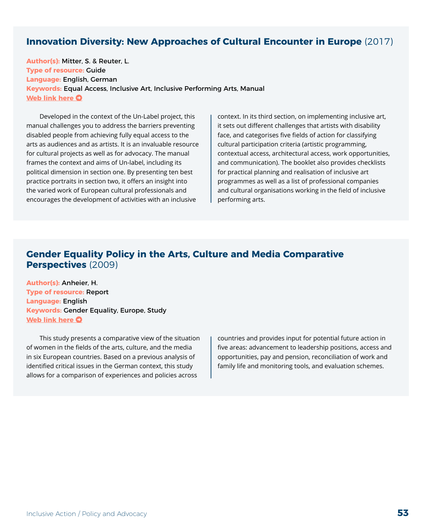#### **Innovation Diversity: New Approaches of Cultural Encounter in Europe** (2017)

**Author(s):** Mitter, S. & Reuter, L. **Type of resource:** Guide **Language:** English, German **Keywords:** Equal Access, Inclusive Art, Inclusive Performing Arts, Manual **[Web link here](https://un-label.eu/wp-content/uploads/Un-Label-Manual-Innovation-Diversity-New-Approaches-of-Cultural-Encounter-in-Europe_EN.pdf) O** 

Developed in the context of the Un-Label project, this manual challenges you to address the barriers preventing disabled people from achieving fully equal access to the arts as audiences and as artists. It is an invaluable resource for cultural projects as well as for advocacy. The manual frames the context and aims of Un-label, including its political dimension in section one. By presenting ten best practice portraits in section two, it offers an insight into the varied work of European cultural professionals and encourages the development of activities with an inclusive

context. In its third section, on implementing inclusive art, it sets out different challenges that artists with disability face, and categorises five fields of action for classifying cultural participation criteria (artistic programming, contextual access, architectural access, work opportunities, and communication). The booklet also provides checklists for practical planning and realisation of inclusive art programmes as well as a list of professional companies and cultural organisations working in the field of inclusive performing arts.

#### **Gender Equality Policy in the Arts, Culture and Media Comparative Perspectives** (2009)

**Author(s):** Anheier, H. **Type of resource:** Report **Language:** English **Keywords:** Gender Equality, Europe, Study **[Web link here](https://www.hertie-school.org/fileadmin/2_Research/2_Research_directory/Research_projects/Women_in_media_culture/FINAL_Report_Women_in_arts_and_culture.pdf) O** 

This study presents a comparative view of the situation of women in the fields of the arts, culture, and the media in six European countries. Based on a previous analysis of identified critical issues in the German context, this study allows for a comparison of experiences and policies across

countries and provides input for potential future action in five areas: advancement to leadership positions, access and opportunities, pay and pension, reconciliation of work and family life and monitoring tools, and evaluation schemes.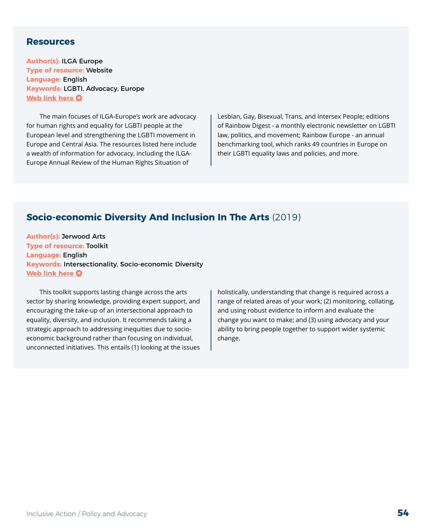#### **Resources**

**Author(s):** ILGA Europe **Type of resource:** Website **Language:** English **Keywords:** LGBTI, Advocacy, Europe **[Web link here](https://www.ilga-europe.org/resources) O** 

The main focuses of ILGA-Europe's work are advocacy for human rights and equality for LGBTI people at the European level and strengthening the LGBTI movement in Europe and Central Asia. The resources listed here include a wealth of information for advocacy, including the ILGA-Europe Annual Review of the Human Rights Situation of

Lesbian, Gay, Bisexual, Trans, and Intersex People; editions of Rainbow Digest - a monthly electronic newsletter on LGBTI law, politics, and movement; Rainbow Europe - an annual benchmarking tool, which ranks 49 countries in Europe on their LGBTI equality laws and policies, and more.

#### **Socio-economic Diversity And Inclusion In The Arts** (2019)

**Author(s):** Jerwood Arts **Type of resource:** Toolkit **Language:** English **Keywords:** Intersectionality, Socio-economic Diversity **[Web link here](https://jerwoodarts.org/wp-content/uploads/2019/11/Socio-economic-Diversity-and-Inclusion-in-the-Arts-A-Toolkit-for-Employers.pdf) O** 

This toolkit supports lasting change across the arts sector by sharing knowledge, providing expert support, and encouraging the take-up of an intersectional approach to equality, diversity, and inclusion. It recommends taking a strategic approach to addressing inequities due to socioeconomic background rather than focusing on individual, unconnected initiatives. This entails (1) looking at the issues holistically, understanding that change is required across a range of related areas of your work; (2) monitoring, collating, and using robust evidence to inform and evaluate the change you want to make; and (3) using advocacy and your ability to bring people together to support wider systemic change.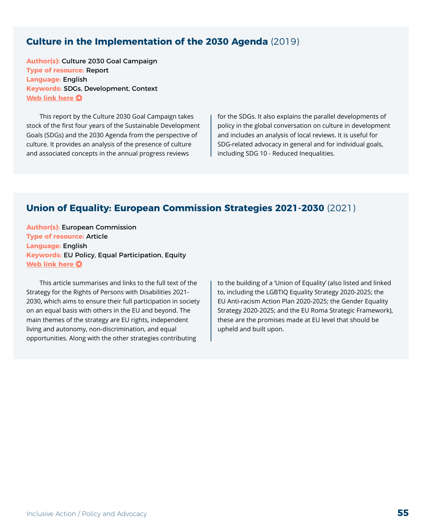#### **Culture in the Implementation of the 2030 Agenda** (2019)

**Author(s):** Culture 2030 Goal Campaign **Type of resource:** Report **Language:** English **Keywords:** SDGs, Development, Context **[Web link here](http://culture2030goal.net/wp-content/uploads/2020/05/culture2030goal_high.pdf) O** 

This report by the Culture 2030 Goal Campaign takes stock of the first four years of the Sustainable Development Goals (SDGs) and the 2030 Agenda from the perspective of culture. It provides an analysis of the presence of culture and associated concepts in the annual progress reviews

for the SDGs. It also explains the parallel developments of policy in the global conversation on culture in development and includes an analysis of local reviews. It is useful for SDG-related advocacy in general and for individual goals, including SDG 10 - Reduced Inequalities.

#### **Union of Equality: European Commission Strategies 2021-2030** (2021)

**Author(s):** European Commission **Type of resource:** Article **Language:** English **Keywords:** EU Policy, Equal Participation, Equity **[Web link here](https://ec.europa.eu/social/main.jsp?langId=en&catId=89&furtherNews=yes&newsId=9938)**  $\Omega$ 

This article summarises and links to the full text of the Strategy for the Rights of Persons with Disabilities 2021- 2030, which aims to ensure their full participation in society on an equal basis with others in the EU and beyond. The main themes of the strategy are EU rights, independent living and autonomy, non-discrimination, and equal opportunities. Along with the other strategies contributing

to the building of a 'Union of Equality' (also listed and linked to, including the LGBTIQ Equality Strategy 2020-2025; the EU Anti-racism Action Plan 2020-2025; the Gender Equality Strategy 2020-2025; and the EU Roma Strategic Framework), these are the promises made at EU level that should be upheld and built upon.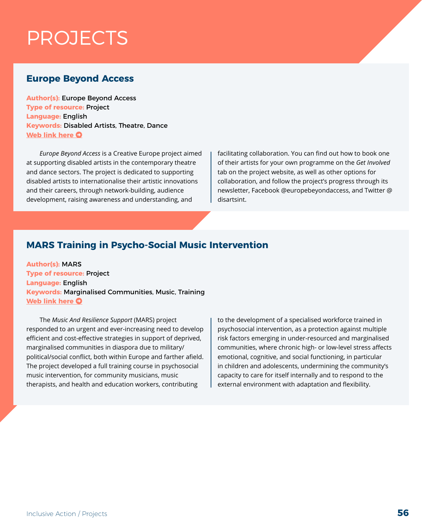## PROJECTS

#### **Europe Beyond Access**

**Author(s):** Europe Beyond Access **Type of resource:** Project **Language:** English **Keywords:** Disabled Artists, Theatre, Dance **[Web link here](https://www.disabilityartsinternational.org/europe-beyond-access/) O** 

*Europe Beyond Access* is a Creative Europe project aimed at supporting disabled artists in the contemporary theatre and dance sectors. The project is dedicated to supporting disabled artists to internationalise their artistic innovations and their careers, through network-building, audience development, raising awareness and understanding, and

facilitating collaboration. You can find out how to book one of their artists for your own programme on the *Get Involved* tab on the project website, as well as other options for collaboration, and follow the project's progress through its newsletter, Facebook @europebeyondaccess, and Twitter @ disartsint.

#### **MARS Training in Psycho-Social Music Intervention**

**Author(s):** MARS **Type of resource:** Project **Language:** English **Keywords:** Marginalised Communities, Music, Training **[Web link here](http://www.musicandresilience.net/) O** 

The *Music And Resilience Support* (MARS) project responded to an urgent and ever-increasing need to develop efficient and cost-effective strategies in support of deprived, marginalised communities in diaspora due to military/ political/social conflict, both within Europe and farther afield. The project developed a full training course in psychosocial music intervention, for community musicians, music therapists, and health and education workers, contributing

to the development of a specialised workforce trained in psychosocial intervention, as a protection against multiple risk factors emerging in under-resourced and marginalised communities, where chronic high- or low-level stress affects emotional, cognitive, and social functioning, in particular in children and adolescents, undermining the community's capacity to care for itself internally and to respond to the external environment with adaptation and flexibility.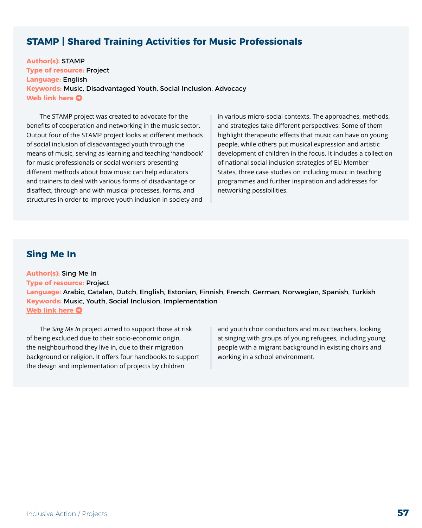#### **STAMP | Shared Training Activities for Music Professionals**

**Author(s):** STAMP **Type of resource:** Project **Language:** English **Keywords:** Music, Disadvantaged Youth, Social Inclusion, Advocacy **[Web link here](https://stamp-music.org/) O** 

The STAMP project was created to advocate for the benefits of cooperation and networking in the music sector. Output four of the STAMP project looks at different methods of social inclusion of disadvantaged youth through the means of music, serving as learning and teaching 'handbook' for music professionals or social workers presenting different methods about how music can help educators and trainers to deal with various forms of disadvantage or disaffect, through and with musical processes, forms, and structures in order to improve youth inclusion in society and

in various micro-social contexts. The approaches, methods, and strategies take different perspectives: Some of them highlight therapeutic effects that music can have on young people, while others put musical expression and artistic development of children in the focus. It includes a collection of national social inclusion strategies of EU Member States, three case studies on including music in teaching programmes and further inspiration and addresses for networking possibilities.

#### **Sing Me In**

**Author(s):** Sing Me In **Type of resource:** Project

**Language:** Arabic, Catalan, Dutch, English, Estonian, Finnish, French, German, Norwegian, Spanish, Turkish **Keywords:** Music, Youth, Social Inclusion, Implementation **[Web link here](https://europeanchoralassociation.org/cooperation-projects/sing-me-in/)**  $\bullet$ 

The *Sing Me In* project aimed to support those at risk of being excluded due to their socio-economic origin, the neighbourhood they live in, due to their migration background or religion. It offers four handbooks to support the design and implementation of projects by children

and youth choir conductors and music teachers, looking at singing with groups of young refugees, including young people with a migrant background in existing choirs and working in a school environment.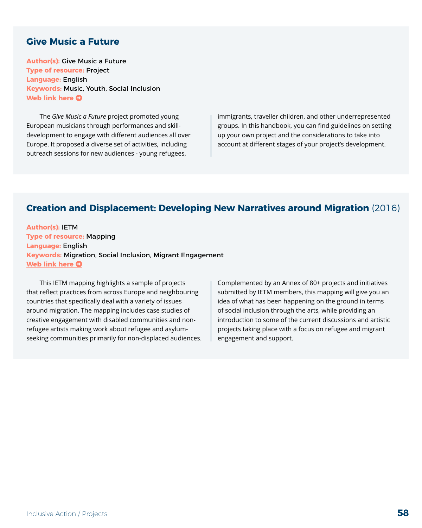#### **Give Music a Future**

**Author(s):** Give Music a Future **Type of resource:** Project **Language:** English **Keywords:** Music, Youth, Social Inclusion **[Web link here](https://online.fliphtml5.com/qnzdi/pqmf/#p=1) O** 

The *Give Music a Future* project promoted young European musicians through performances and skilldevelopment to engage with different audiences all over Europe. It proposed a diverse set of activities, including outreach sessions for new audiences - young refugees,

immigrants, traveller children, and other underrepresented groups. In this handbook, you can find guidelines on setting up your own project and the considerations to take into account at different stages of your project's development.

#### **Creation and Displacement: Developing New Narratives around Migration** (2016)

**Author(s):** IETM **Type of resource:** Mapping **Language:** English **Keywords:** Migration, Social Inclusion, Migrant Engagement **[Web link here](https://www.ietm.org/en/resources/mappings/creation-and-displacement-developing-new-narratives-around-migration) O** 

This IETM mapping highlights a sample of projects that reflect practices from across Europe and neighbouring countries that specifically deal with a variety of issues around migration. The mapping includes case studies of creative engagement with disabled communities and nonrefugee artists making work about refugee and asylumseeking communities primarily for non-displaced audiences.

Complemented by an Annex of 80+ projects and initiatives submitted by IETM members, this mapping will give you an idea of what has been happening on the ground in terms of social inclusion through the arts, while providing an introduction to some of the current discussions and artistic projects taking place with a focus on refugee and migrant engagement and support.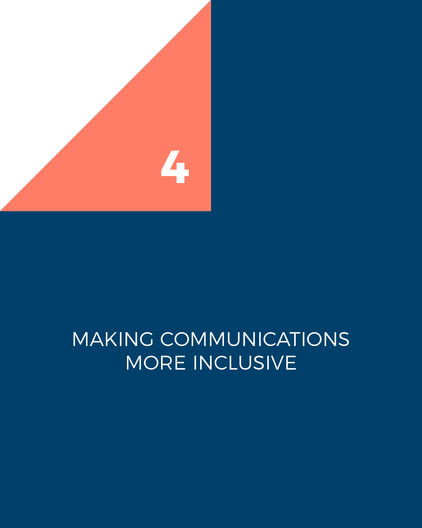

## MAKING COMMUNICATIONS MORE INCLUSIVE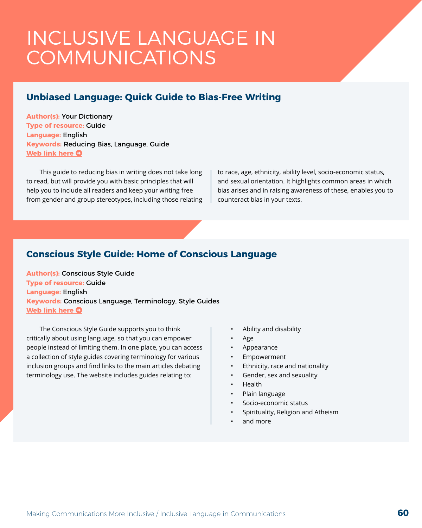### INCLUSIVE LANGUAGE IN COMMUNICATIONS

#### **Unbiased Language: Quick Guide to Bias-Free Writing**

**Author(s):** Your Dictionary **Type of resource:** Guide **Language:** English **Keywords:** Reducing Bias, Language, Guide **[Web link here](https://grammar.yourdictionary.com/style-and-usage/unbiased-language.html) O** 

This guide to reducing bias in writing does not take long to read, but will provide you with basic principles that will help you to include all readers and keep your writing free from gender and group stereotypes, including those relating to race, age, ethnicity, ability level, socio-economic status, and sexual orientation. It highlights common areas in which bias arises and in raising awareness of these, enables you to counteract bias in your texts.

#### **Conscious Style Guide: Home of Conscious Language**

**Author(s):** Conscious Style Guide **Type of resource:** Guide **Language:** English **Keywords:** Conscious Language, Terminology, Style Guides **[Web link here](https://consciousstyleguide.com/) O** 

The Conscious Style Guide supports you to think critically about using language, so that you can empower people instead of limiting them. In one place, you can access a collection of style guides covering terminology for various inclusion groups and find links to the main articles debating terminology use. The website includes guides relating to:

- Ability and disability
- Age
- Appearance
- Empowerment
- Ethnicity, race and nationality
- Gender, sex and sexuality
- Health
- Plain language
- Socio-economic status
- Spirituality, Religion and Atheism
- and more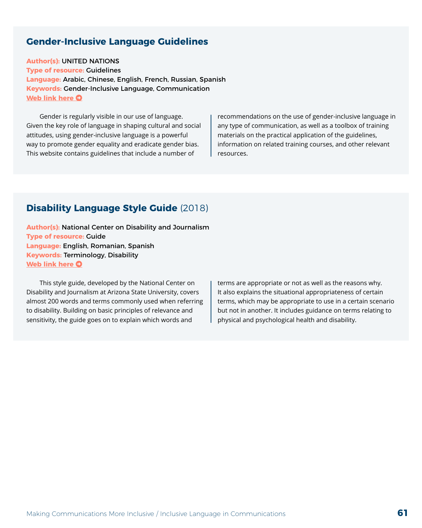#### **Gender-Inclusive Language Guidelines**

**Author(s):** UNITED NATIONS

**Type of resource:** Guidelines **Language:** Arabic, Chinese, English, French, Russian, Spanish **Keywords:** Gender-Inclusive Language, Communication **[Web link here](https://www.un.org/en/gender-inclusive-language/) O** 

Gender is regularly visible in our use of language. Given the key role of language in shaping cultural and social attitudes, using gender-inclusive language is a powerful way to promote gender equality and eradicate gender bias. This website contains guidelines that include a number of

recommendations on the use of gender-inclusive language in any type of communication, as well as a toolbox of training materials on the practical application of the guidelines, information on related training courses, and other relevant resources.

#### **Disability Language Style Guide** (2018)

**Author(s):** National Center on Disability and Journalism **Type of resource:** Guide **Language:** English, Romanian, Spanish **Keywords:** Terminology, Disability **[Web link here](https://ncdj.org/style-guide/) O** 

This style guide, developed by the National Center on Disability and Journalism at Arizona State University, covers almost 200 words and terms commonly used when referring to disability. Building on basic principles of relevance and sensitivity, the guide goes on to explain which words and

terms are appropriate or not as well as the reasons why. It also explains the situational appropriateness of certain terms, which may be appropriate to use in a certain scenario but not in another. It includes guidance on terms relating to physical and psychological health and disability.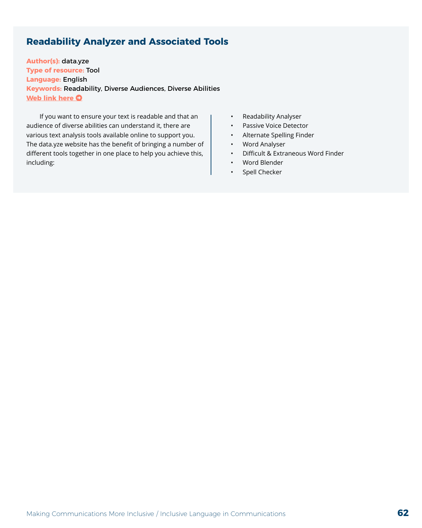#### **Readability Analyzer and Associated Tools**

**Author(s):** data.yze **Type of resource:** Tool **Language:** English **Keywords:** Readability, Diverse Audiences, Diverse Abilities **[Web link here](https://datayze.com/readability-analyzer.php) O** 

If you want to ensure your text is readable and that an audience of diverse abilities can understand it, there are various text analysis tools available online to support you. The data.yze website has the benefit of bringing a number of different tools together in one place to help you achieve this, including:

- Readability Analyser
- Passive Voice Detector
- Alternate Spelling Finder
- Word Analyser
- Difficult & Extraneous Word Finder
- Word Blender
- Spell Checker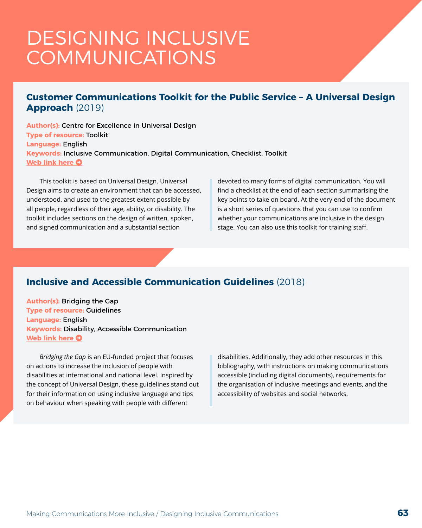### DESIGNING INCLUSIVE COMMUNICATIONS

#### **Customer Communications Toolkit for the Public Service – A Universal Design Approach** (2019)

**Author(s):** Centre for Excellence in Universal Design **Type of resource:** Toolkit **Language:** English **Keywords:** Inclusive Communication, Digital Communication, Checklist, Toolkit **[Web link here](http://universaldesign.ie/products-services/customer-communications-toolkit-for-the-public-service-a-universal-design-approach/) O** 

This toolkit is based on Universal Design. Universal Design aims to create an environment that can be accessed, understood, and used to the greatest extent possible by all people, regardless of their age, ability, or disability. The toolkit includes sections on the design of written, spoken, and signed communication and a substantial section

devoted to many forms of digital communication. You will find a checklist at the end of each section summarising the key points to take on board. At the very end of the document is a short series of questions that you can use to confirm whether your communications are inclusive in the design stage. You can also use this toolkit for training staff.

#### **Inclusive and Accessible Communication Guidelines** (2018)

**Author(s):** Bridging the Gap **Type of resource:** Guidelines **Language:** English **Keywords:** Disability, Accessible Communication **[Web link here](https://bridgingthegap-project.eu/wp-content/uploads/BtG_Inclusive-and-accessible-Communication-Guidelines.pdf) O** 

*Bridging the Gap* is an EU-funded project that focuses on actions to increase the inclusion of people with disabilities at international and national level. Inspired by the concept of Universal Design, these guidelines stand out for their information on using inclusive language and tips on behaviour when speaking with people with different

disabilities. Additionally, they add other resources in this bibliography, with instructions on making communications accessible (including digital documents), requirements for the organisation of inclusive meetings and events, and the accessibility of websites and social networks.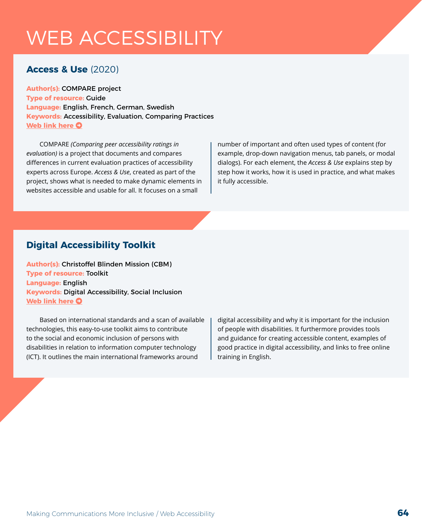## WEB ACCESSIBILITY

#### **Access & Use** (2020)

**Author(s):** COMPARE project **Type of resource:** Guide **Language:** English, French, German, Swedish **Keywords:** Accessibility, Evaluation, Comparing Practices **[Web link here](https://accessuse.eu/) O** 

COMPARE *(Comparing peer accessibility ratings in evaluation)* is a project that documents and compares differences in current evaluation practices of accessibility experts across Europe. *Access & Use*, created as part of the project, shows what is needed to make dynamic elements in websites accessible and usable for all. It focuses on a small

number of important and often used types of content (for example, drop-down navigation menus, tab panels, or modal dialogs). For each element, the *Access & Use* explains step by step how it works, how it is used in practice, and what makes it fully accessible.

#### **Digital Accessibility Toolkit**

**Author(s):** Christoffel Blinden Mission (CBM) **Type of resource:** Toolkit **Language:** English **Keywords:** Digital Accessibility, Social Inclusion **[Web link here](https://www.medbox.org/pdf/5e148832db60a2044c2d4d6a) O** 

Based on international standards and a scan of available technologies, this easy-to-use toolkit aims to contribute to the social and economic inclusion of persons with disabilities in relation to information computer technology (ICT). It outlines the main international frameworks around

digital accessibility and why it is important for the inclusion of people with disabilities. It furthermore provides tools and guidance for creating accessible content, examples of good practice in digital accessibility, and links to free online training in English.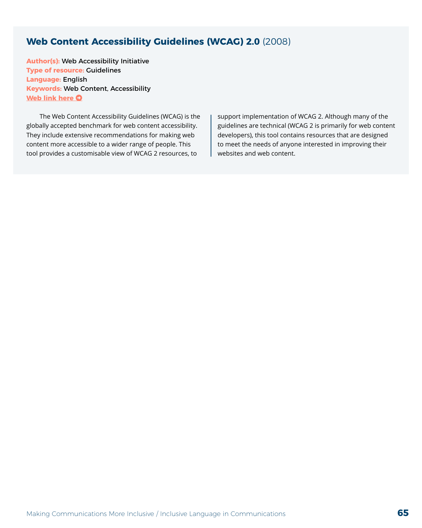#### **Web Content Accessibility Guidelines (WCAG) 2.0** (2008)

**Author(s):** Web Accessibility Initiative **Type of resource:** Guidelines **Language:** English **Keywords:** Web Content, Accessibility **[Web link here](https://www.w3.org/WAI/WCAG21/quickref/) O** 

The Web Content Accessibility Guidelines (WCAG) is the globally accepted benchmark for web content accessibility. They include extensive recommendations for making web content more accessible to a wider range of people. This tool provides a customisable view of WCAG 2 resources, to

support implementation of WCAG 2. Although many of the guidelines are technical (WCAG 2 is primarily for web content developers), this tool contains resources that are designed to meet the needs of anyone interested in improving their websites and web content.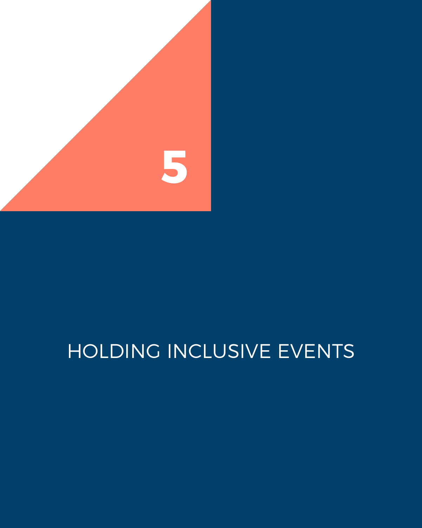

# HOLDING INCLUSIVE EVENTS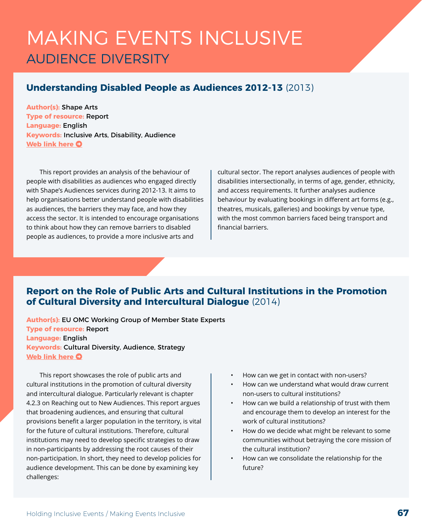### MAKING EVENTS INCLUSIVE AUDIENCE DIVERSITY

#### **Understanding Disabled People as Audiences 2012-13** (2013)

**Author(s):** Shape Arts **Type of resource:** Report **Language:** English **Keywords:** Inclusive Arts, Disability, Audience **[Web link here](https://www.shapearts.org.uk/understanding-disabled-people-as-audiences-2012-13) O** 

This report provides an analysis of the behaviour of people with disabilities as audiences who engaged directly with Shape's Audiences services during 2012-13. It aims to help organisations better understand people with disabilities as audiences, the barriers they may face, and how they access the sector. It is intended to encourage organisations to think about how they can remove barriers to disabled people as audiences, to provide a more inclusive arts and

cultural sector. The report analyses audiences of people with disabilities intersectionally, in terms of age, gender, ethnicity, and access requirements. It further analyses audience behaviour by evaluating bookings in different art forms (e.g., theatres, musicals, galleries) and bookings by venue type, with the most common barriers faced being transport and financial barriers.

#### **Report on the Role of Public Arts and Cultural Institutions in the Promotion of Cultural Diversity and Intercultural Dialogue** (2014)

**Author(s):** EU OMC Working Group of Member State Experts **Type of resource:** Report **Language:** English **Keywords:** Cultural Diversity, Audience, Strategy **[Web link here](https://ec.europa.eu/assets/eac/culture/library/reports/201405-omc-diversity-dialogue_en.pdf) O** 

This report showcases the role of public arts and cultural institutions in the promotion of cultural diversity and intercultural dialogue. Particularly relevant is chapter 4.2.3 on Reaching out to New Audiences. This report argues that broadening audiences, and ensuring that cultural provisions benefit a larger population in the territory, is vital for the future of cultural institutions. Therefore, cultural institutions may need to develop specific strategies to draw in non-participants by addressing the root causes of their non-participation. In short, they need to develop policies for audience development. This can be done by examining key challenges:

- How can we get in contact with non-users?
- How can we understand what would draw current non-users to cultural institutions?
- How can we build a relationship of trust with them and encourage them to develop an interest for the work of cultural institutions?
- How do we decide what might be relevant to some communities without betraying the core mission of the cultural institution?
- How can we consolidate the relationship for the future?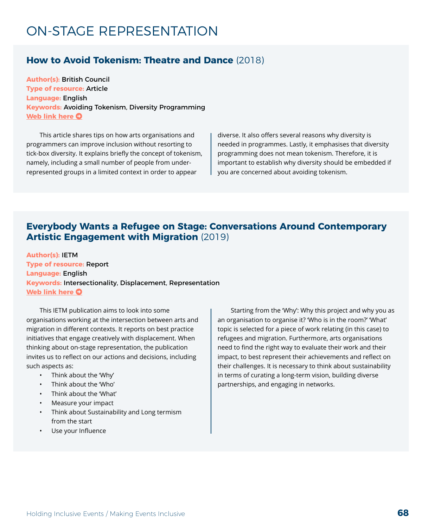### ON-STAGE REPRESENTATION

#### **How to Avoid Tokenism: Theatre and Dance** (2018)

**Author(s):** British Council **Type of resource:** Article **Language:** English **Keywords:** Avoiding Tokenism, Diversity Programming **[Web link here](https://theatreanddance.britishcouncil.org/blog/2018/tokenism/) O** 

This article shares tips on how arts organisations and programmers can improve inclusion without resorting to tick-box diversity. It explains briefly the concept of tokenism, namely, including a small number of people from underrepresented groups in a limited context in order to appear

diverse. It also offers several reasons why diversity is needed in programmes. Lastly, it emphasises that diversity programming does not mean tokenism. Therefore, it is important to establish why diversity should be embedded if you are concerned about avoiding tokenism.

#### **Everybody Wants a Refugee on Stage: Conversations Around Contemporary Artistic Engagement with Migration** (2019)

**Author(s):** IETM **Type of resource:** Report **Language:** English **Keywords:** Intersectionality, Displacement, Representation **[Web link here](https://www.ietm.org/en/resources/articles/everybody-wants-a-refugee-on-stage-conversations-around-contemporary-artistic) O** 

This IETM publication aims to look into some organisations working at the intersection between arts and migration in different contexts. It reports on best practice initiatives that engage creatively with displacement. When thinking about on-stage representation, the publication invites us to reflect on our actions and decisions, including such aspects as:

- Think about the 'Why'
- Think about the 'Who'
- Think about the 'What'
- Measure your impact
- Think about Sustainability and Long termism from the start
- Use your Influence

Starting from the 'Why': Why this project and why you as an organisation to organise it? 'Who is in the room?' 'What' topic is selected for a piece of work relating (in this case) to refugees and migration. Furthermore, arts organisations need to find the right way to evaluate their work and their impact, to best represent their achievements and reflect on their challenges. It is necessary to think about sustainability in terms of curating a long-term vision, building diverse partnerships, and engaging in networks.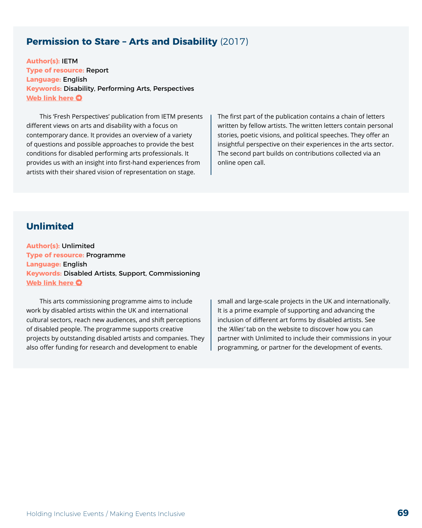#### **Permission to Stare – Arts and Disability** (2017)

**Author(s):** IETM **Type of resource:** Report **Language:** English **Keywords:** Disability, Performing Arts, Perspectives **[Web link here](https://www.ietm.org/en/system/files/publications/ietm_permissiontostare_sept2017_0.pdf) O** 

This 'Fresh Perspectives' publication from IETM presents different views on arts and disability with a focus on contemporary dance. It provides an overview of a variety of questions and possible approaches to provide the best conditions for disabled performing arts professionals. It provides us with an insight into first-hand experiences from artists with their shared vision of representation on stage.

The first part of the publication contains a chain of letters written by fellow artists. The written letters contain personal stories, poetic visions, and political speeches. They offer an insightful perspective on their experiences in the arts sector. The second part builds on contributions collected via an online open call.

#### **Unlimited**

**Author(s):** Unlimited **Type of resource:** Programme **Language:** English **Keywords:** Disabled Artists, Support, Commissioning **[Web link here](https://weareunlimited.org.uk/) O** 

This arts commissioning programme aims to include work by disabled artists within the UK and international cultural sectors, reach new audiences, and shift perceptions of disabled people. The programme supports creative projects by outstanding disabled artists and companies. They also offer funding for research and development to enable

small and large-scale projects in the UK and internationally. It is a prime example of supporting and advancing the inclusion of different art forms by disabled artists. See the *'Allies'* tab on the website to discover how you can partner with Unlimited to include their commissions in your programming, or partner for the development of events.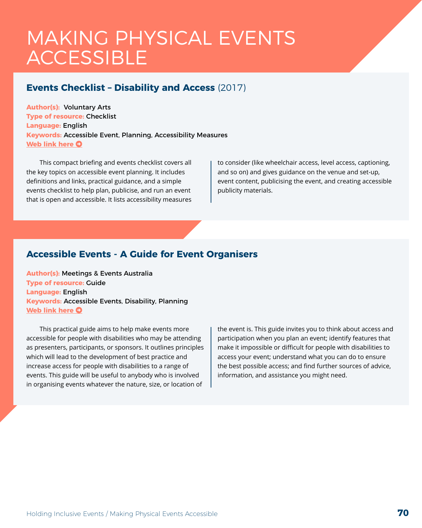### MAKING PHYSICAL EVENTS **ACCESSIBLE**

#### **Events Checklist – Disability and Access** (2017)

**Author(s):** Voluntary Arts **Type of resource:** Checklist **Language:** English **Keywords:** Accessible Event, Planning, Accessibility Measures **[Web link here](http://www.lahf.org.uk/sites/default/files/Briefing_128_-_Events_Checklist_-_Disability_and_Access.pdf) O** 

This compact briefing and events checklist covers all the key topics on accessible event planning. It includes definitions and links, practical guidance, and a simple events checklist to help plan, publicise, and run an event that is open and accessible. It lists accessibility measures to consider (like wheelchair access, level access, captioning, and so on) and gives guidance on the venue and set-up, event content, publicising the event, and creating accessible publicity materials.

#### **Accessible Events - A Guide for Event Organisers**

**Author(s):** Meetings & Events Australia **Type of resource:** Guide **Language:** English **Keywords:** Accessible Events, Disability, Planning **[Web link here](http://www.disability.wa.gov.au/Global/Publications/Understanding%20disability/Built%20environment/Accessible%20events%20guide.pdf) O** 

This practical guide aims to help make events more accessible for people with disabilities who may be attending as presenters, participants, or sponsors. It outlines principles which will lead to the development of best practice and increase access for people with disabilities to a range of events. This guide will be useful to anybody who is involved in organising events whatever the nature, size, or location of

the event is. This guide invites you to think about access and participation when you plan an event; identify features that make it impossible or difficult for people with disabilities to access your event; understand what you can do to ensure the best possible access; and find further sources of advice, information, and assistance you might need.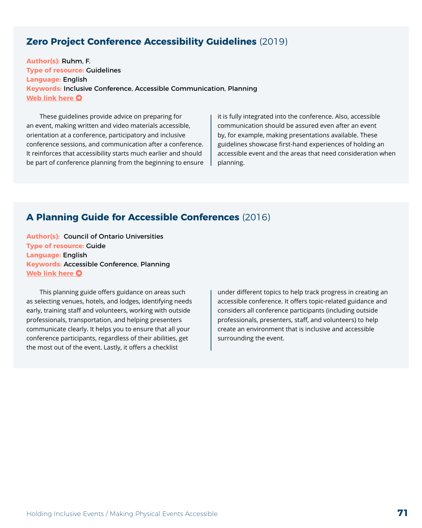#### **Zero Project Conference Accessibility Guidelines** (2019)

**Author(s):** Ruhm, F. **Type of resource:** Guidelines **Language:** English **Keywords:** Inclusive Conference, Accessible Communication, Planning **[Web link here](https://zeroproject.org/wp-content/uploads/2019/12/Zero-Project-Conference-Accessibility-Guidelines-2019.pdf) O** 

These guidelines provide advice on preparing for an event, making written and video materials accessible, orientation at a conference, participatory and inclusive conference sessions, and communication after a conference. It reinforces that accessibility starts much earlier and should be part of conference planning from the beginning to ensure it is fully integrated into the conference. Also, accessible communication should be assured even after an event by, for example, making presentations available. These guidelines showcase first-hand experiences of holding an accessible event and the areas that need consideration when planning.

#### **A Planning Guide for Accessible Conferences** (2016)

**Author(s):** Council of Ontario Universities **Type of resource:** Guide **Language:** English **Keywords:** Accessible Conference, Planning **[Web link here](http://www.accessiblecampus.ca/wp-content/uploads/2016/12/A-Planning-Guide-for-Accessible-Conferences-1.pdf) O** 

This planning guide offers guidance on areas such as selecting venues, hotels, and lodges, identifying needs early, training staff and volunteers, working with outside professionals, transportation, and helping presenters communicate clearly. It helps you to ensure that all your conference participants, regardless of their abilities, get the most out of the event. Lastly, it offers a checklist

under different topics to help track progress in creating an accessible conference. It offers topic-related guidance and considers all conference participants (including outside professionals, presenters, staff, and volunteers) to help create an environment that is inclusive and accessible surrounding the event.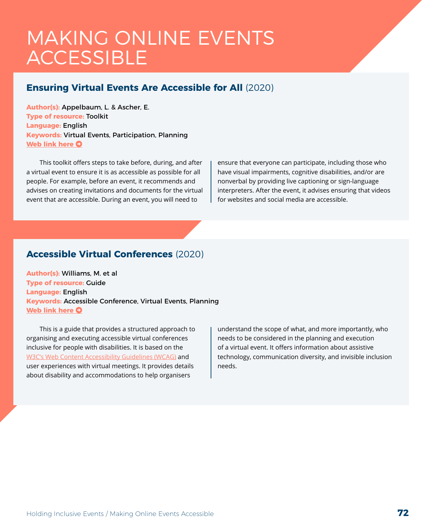### MAKING ONLINE EVENTS **ACCESSIBLE**

#### **Ensuring Virtual Events Are Accessible for All** (2020)

**Author(s):** Appelbaum, L. & Ascher, E. **Type of resource:** Toolkit **Language:** English **Keywords:** Virtual Events, Participation, Planning **[Web link here](https://www.respectability.org/wp-content/uploads/2020/05/Ensuring-Virtual-Events-Are-Accessible-for-All-RespectAbility-Toolkit.pdf) O** 

This toolkit offers steps to take before, during, and after a virtual event to ensure it is as accessible as possible for all people. For example, before an event, it recommends and advises on creating invitations and documents for the virtual event that are accessible. During an event, you will need to

ensure that everyone can participate, including those who have visual impairments, cognitive disabilities, and/or are nonverbal by providing live captioning or sign-language interpreters. After the event, it advises ensuring that videos for websites and social media are accessible.

#### **Accessible Virtual Conferences** (2020)

**Author(s):** Williams, M. et al **Type of resource:** Guide **Language:** English **Keywords:** Accessible Conference, Virtual Events, Planning **[Web link here](http://www.sigaccess.org/accessible-virtual-conferences/) O** 

This is a guide that provides a structured approach to organising and executing accessible virtual conferences inclusive for people with disabilities. It is based on the [W3C's Web Content Accessibility Guidelines \(WCAG\)](https://www.w3.org/WAI/standards-guidelines/wcag/) and user experiences with virtual meetings. It provides details about disability and accommodations to help organisers

understand the scope of what, and more importantly, who needs to be considered in the planning and execution of a virtual event. It offers information about assistive technology, communication diversity, and invisible inclusion needs.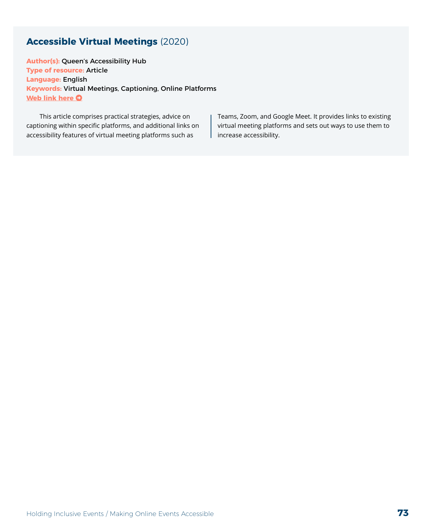## **Accessible Virtual Meetings** (2020)

**Author(s):** Queen's Accessibility Hub **Type of resource:** Article **Language:** English **Keywords:** Virtual Meetings, Captioning, Online Platforms **[Web link here](https://www.queensu.ca/accessibility/how-info/accessible-virtual-meetings) O** 

This article comprises practical strategies, advice on captioning within specific platforms, and additional links on accessibility features of virtual meeting platforms such as

Teams, Zoom, and Google Meet. It provides links to existing virtual meeting platforms and sets out ways to use them to increase accessibility.